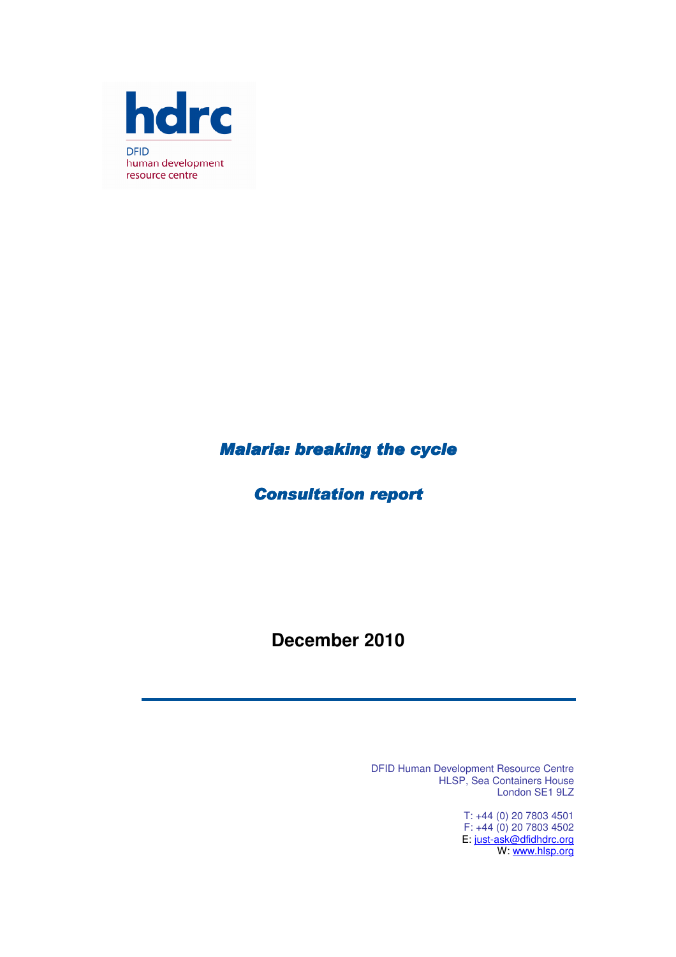

## **Malaria: breaking the cycle**

## **Consultation report**

## **December 2010**

DFID Human Development Resource Centre HLSP, Sea Containers House London SE1 9LZ

> T: +44 (0) 20 7803 4501 F: +44 (0) 20 7803 4502 E: just-ask@dfidhdrc.org W: <u>www.hlsp.org</u>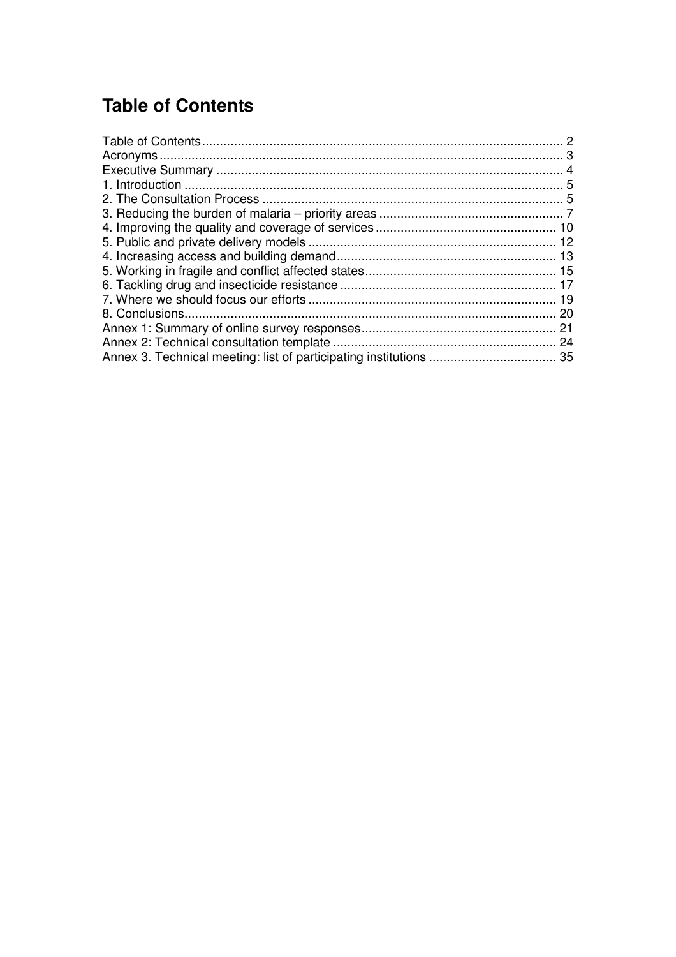# **Table of Contents**

| -20 |
|-----|
|     |
|     |
|     |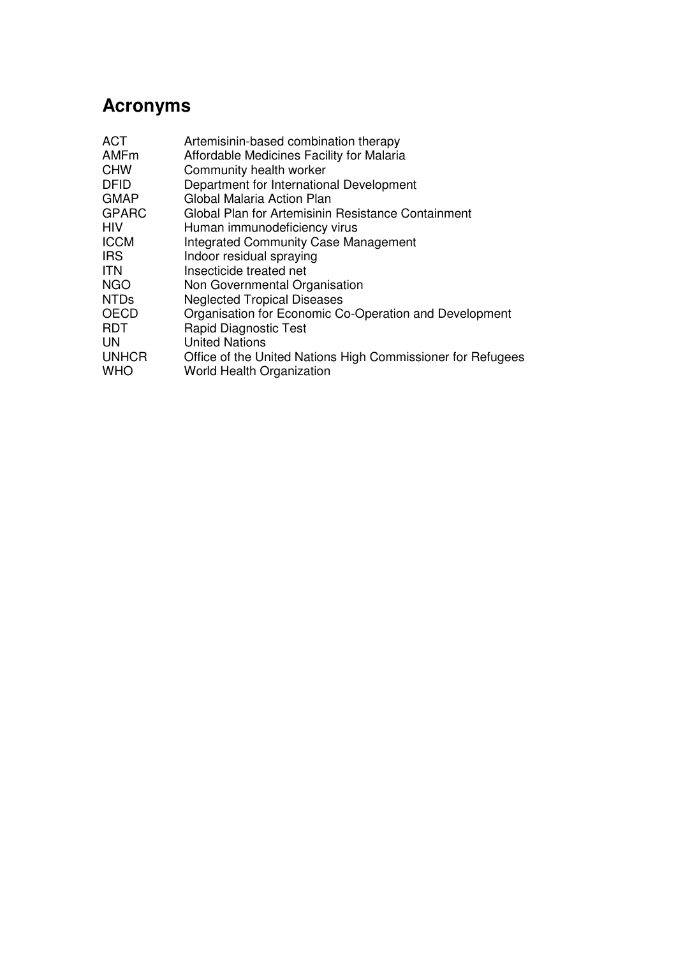# **Acronyms**

| Organisation for Economic Co-Operation and Development      |
|-------------------------------------------------------------|
|                                                             |
|                                                             |
| Office of the United Nations High Commissioner for Refugees |
|                                                             |
|                                                             |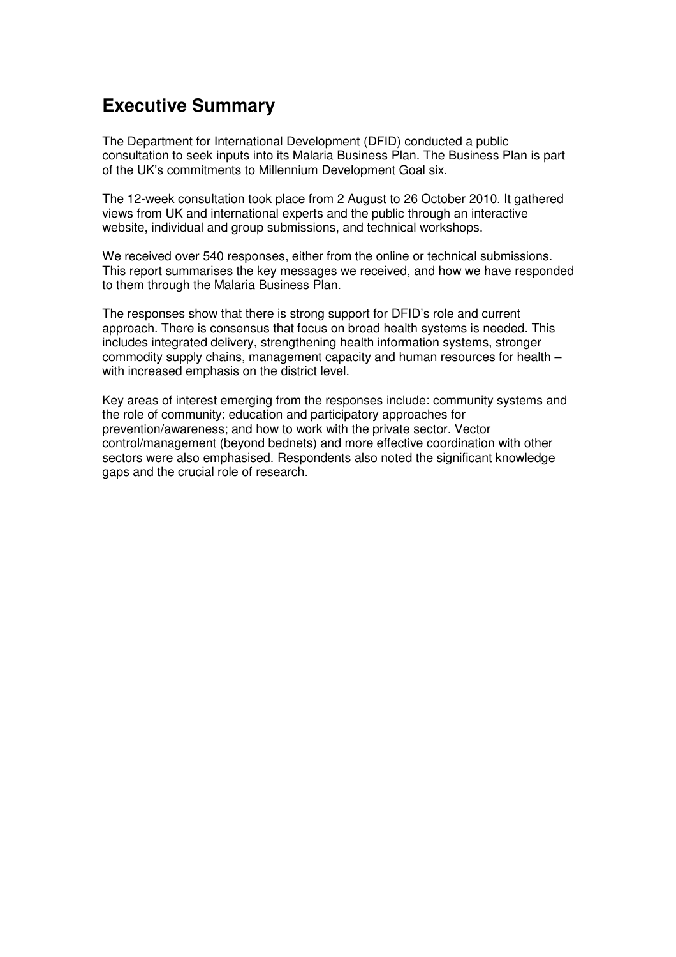## **Executive Summary**

The Department for International Development (DFID) conducted a public consultation to seek inputs into its Malaria Business Plan. The Business Plan is part of the UK's commitments to Millennium Development Goal six.

The 12-week consultation took place from 2 August to 26 October 2010. It gathered views from UK and international experts and the public through an interactive website, individual and group submissions, and technical workshops.

We received over 540 responses, either from the online or technical submissions. This report summarises the key messages we received, and how we have responded to them through the Malaria Business Plan.

The responses show that there is strong support for DFID's role and current approach. There is consensus that focus on broad health systems is needed. This includes integrated delivery, strengthening health information systems, stronger commodity supply chains, management capacity and human resources for health – with increased emphasis on the district level.

Key areas of interest emerging from the responses include: community systems and the role of community; education and participatory approaches for prevention/awareness; and how to work with the private sector. Vector control/management (beyond bednets) and more effective coordination with other sectors were also emphasised. Respondents also noted the significant knowledge gaps and the crucial role of research.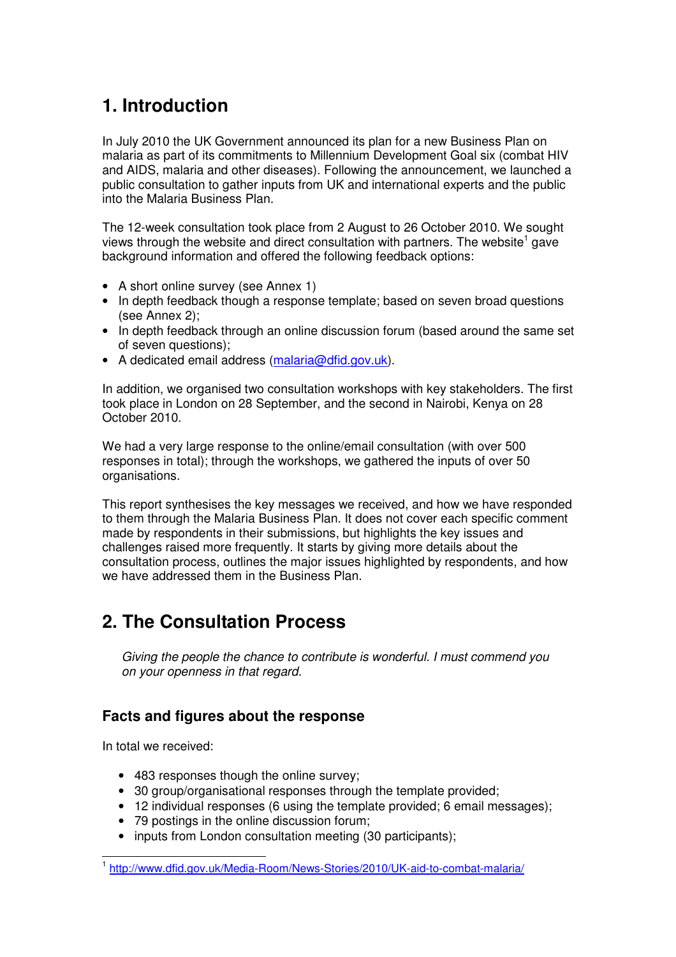# **1. Introduction**

In July 2010 the UK Government announced its plan for a new Business Plan on malaria as part of its commitments to Millennium Development Goal six (combat HIV and AIDS, malaria and other diseases). Following the announcement, we launched a public consultation to gather inputs from UK and international experts and the public into the Malaria Business Plan.

The 12-week consultation took place from 2 August to 26 October 2010. We sought views through the website and direct consultation with partners. The website<sup>1</sup> gave background information and offered the following feedback options:

- A short online survey (see Annex 1)
- In depth feedback though a response template; based on seven broad questions (see Annex 2);
- In depth feedback through an online discussion forum (based around the same set of seven questions);
- A dedicated email address (malaria@dfid.gov.uk).

In addition, we organised two consultation workshops with key stakeholders. The first took place in London on 28 September, and the second in Nairobi, Kenya on 28 October 2010.

We had a very large response to the online/email consultation (with over 500 responses in total); through the workshops, we gathered the inputs of over 50 organisations.

This report synthesises the key messages we received, and how we have responded to them through the Malaria Business Plan. It does not cover each specific comment made by respondents in their submissions, but highlights the key issues and challenges raised more frequently. It starts by giving more details about the consultation process, outlines the major issues highlighted by respondents, and how we have addressed them in the Business Plan.

## **2. The Consultation Process**

Giving the people the chance to contribute is wonderful. I must commend you on your openness in that regard.

## **Facts and figures about the response**

In total we received:

- 483 responses though the online survey;
- 30 group/organisational responses through the template provided:
- 12 individual responses (6 using the template provided; 6 email messages);
- 79 postings in the online discussion forum;
- inputs from London consultation meeting (30 participants);

 1 http://www.dfid.gov.uk/Media-Room/News-Stories/2010/UK-aid-to-combat-malaria/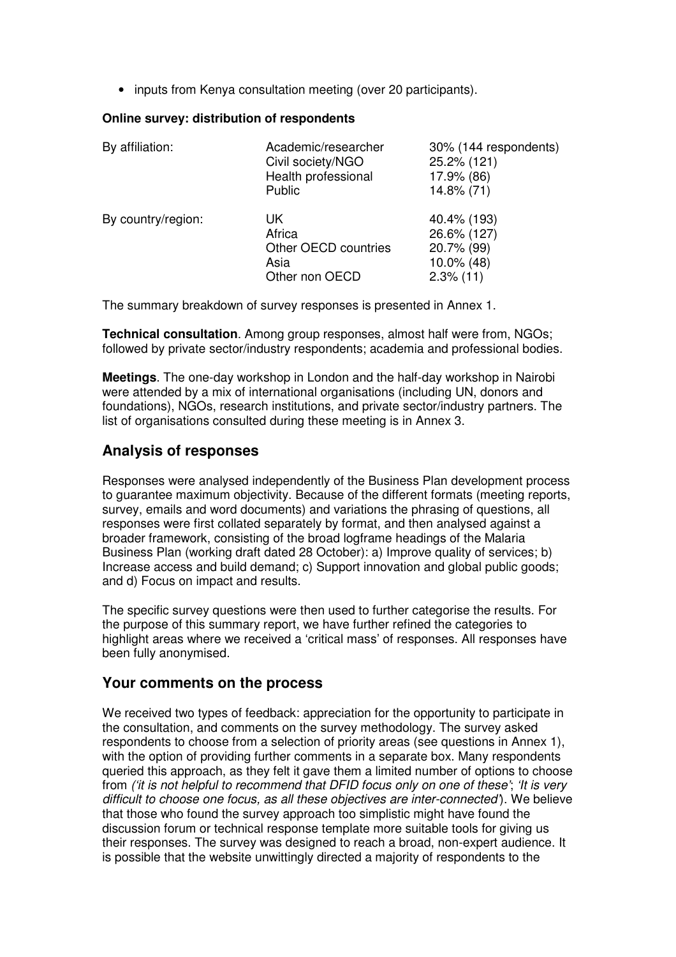• inputs from Kenya consultation meeting (over 20 participants).

#### **Online survey: distribution of respondents**

| By affiliation:    | Academic/researcher<br>Civil society/NGO<br>Health professional<br>Public | 30% (144 respondents)<br>25.2% (121)<br>17.9% (86)<br>14.8% (71)       |
|--------------------|---------------------------------------------------------------------------|------------------------------------------------------------------------|
| By country/region: | UK<br>Africa<br>Other OECD countries<br>Asia<br>Other non OECD            | 40.4% (193)<br>26.6% (127)<br>20.7% (99)<br>10.0% (48)<br>$2.3\%$ (11) |

The summary breakdown of survey responses is presented in Annex 1.

**Technical consultation**. Among group responses, almost half were from, NGOs; followed by private sector/industry respondents; academia and professional bodies.

**Meetings**. The one-day workshop in London and the half-day workshop in Nairobi were attended by a mix of international organisations (including UN, donors and foundations), NGOs, research institutions, and private sector/industry partners. The list of organisations consulted during these meeting is in Annex 3.

## **Analysis of responses**

Responses were analysed independently of the Business Plan development process to guarantee maximum objectivity. Because of the different formats (meeting reports, survey, emails and word documents) and variations the phrasing of questions, all responses were first collated separately by format, and then analysed against a broader framework, consisting of the broad logframe headings of the Malaria Business Plan (working draft dated 28 October): a) Improve quality of services; b) Increase access and build demand; c) Support innovation and global public goods; and d) Focus on impact and results.

The specific survey questions were then used to further categorise the results. For the purpose of this summary report, we have further refined the categories to highlight areas where we received a 'critical mass' of responses. All responses have been fully anonymised.

### **Your comments on the process**

We received two types of feedback: appreciation for the opportunity to participate in the consultation, and comments on the survey methodology. The survey asked respondents to choose from a selection of priority areas (see questions in Annex 1), with the option of providing further comments in a separate box. Many respondents queried this approach, as they felt it gave them a limited number of options to choose from ('it is not helpful to recommend that DFID focus only on one of these'; 'It is very difficult to choose one focus, as all these objectives are inter-connected'). We believe that those who found the survey approach too simplistic might have found the discussion forum or technical response template more suitable tools for giving us their responses. The survey was designed to reach a broad, non-expert audience. It is possible that the website unwittingly directed a majority of respondents to the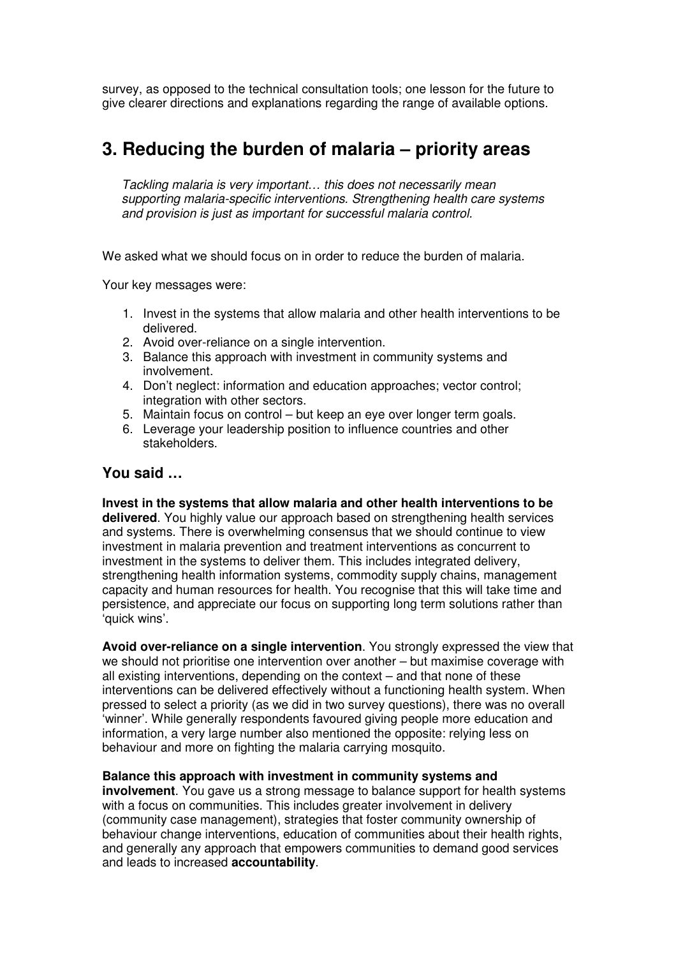survey, as opposed to the technical consultation tools; one lesson for the future to give clearer directions and explanations regarding the range of available options.

## **3. Reducing the burden of malaria – priority areas**

Tackling malaria is very important… this does not necessarily mean supporting malaria-specific interventions. Strengthening health care systems and provision is just as important for successful malaria control.

We asked what we should focus on in order to reduce the burden of malaria.

Your key messages were:

- 1. Invest in the systems that allow malaria and other health interventions to be delivered.
- 2. Avoid over-reliance on a single intervention.
- 3. Balance this approach with investment in community systems and involvement.
- 4. Don't neglect: information and education approaches; vector control; integration with other sectors.
- 5. Maintain focus on control but keep an eye over longer term goals.
- 6. Leverage your leadership position to influence countries and other stakeholders.

## **You said …**

**Invest in the systems that allow malaria and other health interventions to be delivered**. You highly value our approach based on strengthening health services and systems. There is overwhelming consensus that we should continue to view investment in malaria prevention and treatment interventions as concurrent to investment in the systems to deliver them. This includes integrated delivery, strengthening health information systems, commodity supply chains, management capacity and human resources for health. You recognise that this will take time and persistence, and appreciate our focus on supporting long term solutions rather than 'quick wins'.

**Avoid over-reliance on a single intervention**. You strongly expressed the view that we should not prioritise one intervention over another – but maximise coverage with all existing interventions, depending on the context – and that none of these interventions can be delivered effectively without a functioning health system. When pressed to select a priority (as we did in two survey questions), there was no overall 'winner'. While generally respondents favoured giving people more education and information, a very large number also mentioned the opposite: relying less on behaviour and more on fighting the malaria carrying mosquito.

#### **Balance this approach with investment in community systems and**

**involvement**. You gave us a strong message to balance support for health systems with a focus on communities. This includes greater involvement in delivery (community case management), strategies that foster community ownership of behaviour change interventions, education of communities about their health rights, and generally any approach that empowers communities to demand good services and leads to increased **accountability**.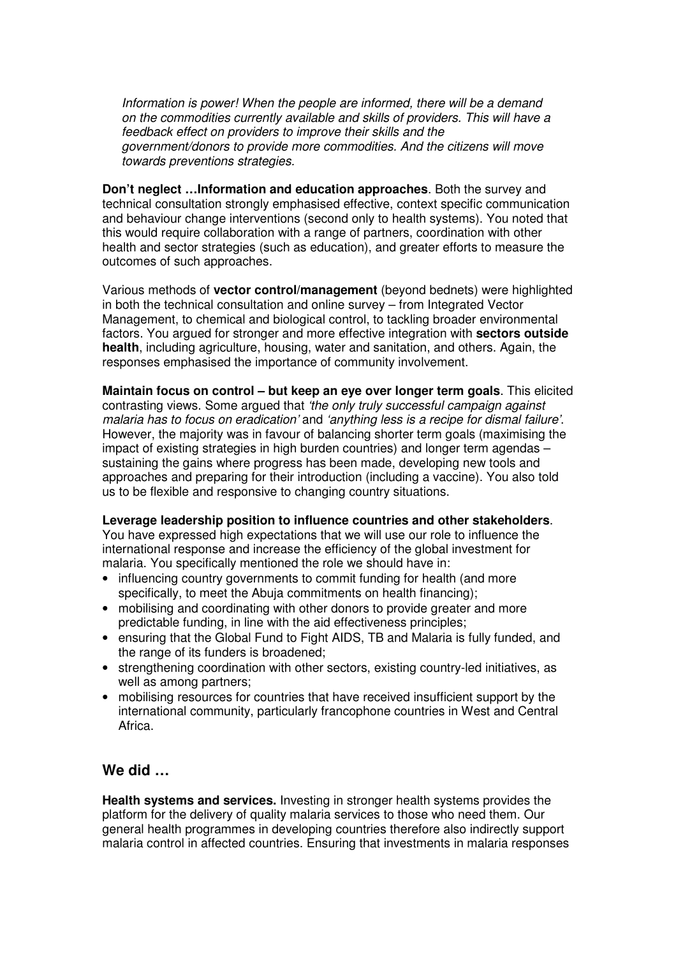Information is power! When the people are informed, there will be a demand on the commodities currently available and skills of providers. This will have a feedback effect on providers to improve their skills and the government/donors to provide more commodities. And the citizens will move towards preventions strategies.

**Don't neglect …Information and education approaches**. Both the survey and technical consultation strongly emphasised effective, context specific communication and behaviour change interventions (second only to health systems). You noted that this would require collaboration with a range of partners, coordination with other health and sector strategies (such as education), and greater efforts to measure the outcomes of such approaches.

Various methods of **vector control/management** (beyond bednets) were highlighted in both the technical consultation and online survey – from Integrated Vector Management, to chemical and biological control, to tackling broader environmental factors. You argued for stronger and more effective integration with **sectors outside health**, including agriculture, housing, water and sanitation, and others. Again, the responses emphasised the importance of community involvement.

**Maintain focus on control – but keep an eye over longer term goals**. This elicited contrasting views. Some argued that 'the only truly successful campaign against malaria has to focus on eradication' and 'anything less is a recipe for dismal failure'. However, the majority was in favour of balancing shorter term goals (maximising the impact of existing strategies in high burden countries) and longer term agendas – sustaining the gains where progress has been made, developing new tools and approaches and preparing for their introduction (including a vaccine). You also told us to be flexible and responsive to changing country situations.

### **Leverage leadership position to influence countries and other stakeholders**.

You have expressed high expectations that we will use our role to influence the international response and increase the efficiency of the global investment for malaria. You specifically mentioned the role we should have in:

- influencing country governments to commit funding for health (and more specifically, to meet the Abuja commitments on health financing);
- mobilising and coordinating with other donors to provide greater and more predictable funding, in line with the aid effectiveness principles;
- ensuring that the Global Fund to Fight AIDS, TB and Malaria is fully funded, and the range of its funders is broadened;
- strengthening coordination with other sectors, existing country-led initiatives, as well as among partners;
- mobilising resources for countries that have received insufficient support by the international community, particularly francophone countries in West and Central Africa.

## **We did …**

**Health systems and services.** Investing in stronger health systems provides the platform for the delivery of quality malaria services to those who need them. Our general health programmes in developing countries therefore also indirectly support malaria control in affected countries. Ensuring that investments in malaria responses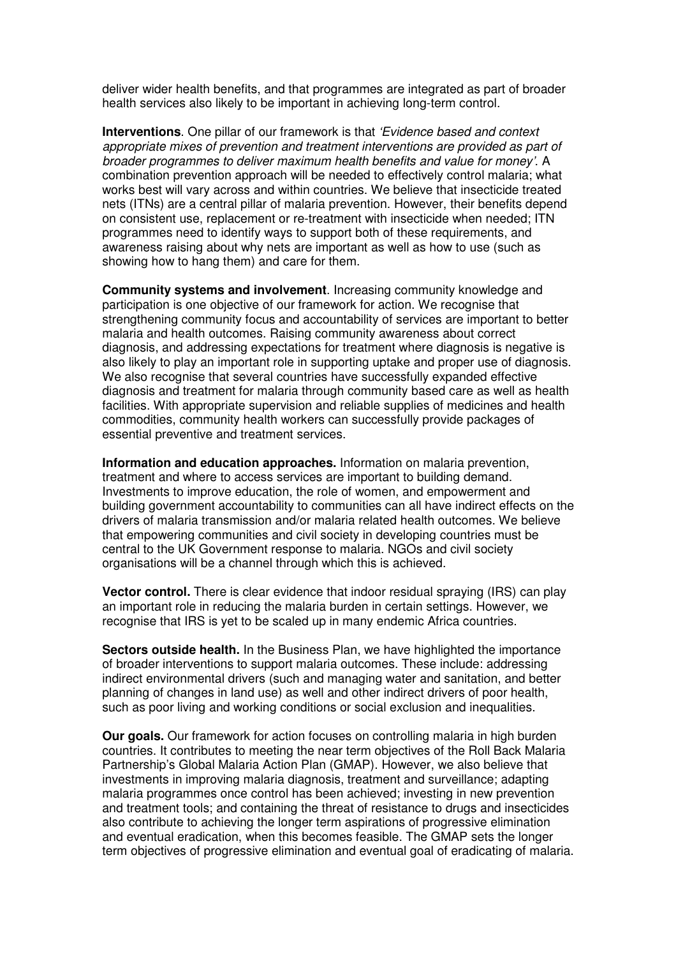deliver wider health benefits, and that programmes are integrated as part of broader health services also likely to be important in achieving long-term control.

**Interventions**. One pillar of our framework is that 'Evidence based and context appropriate mixes of prevention and treatment interventions are provided as part of broader programmes to deliver maximum health benefits and value for money'. A combination prevention approach will be needed to effectively control malaria; what works best will vary across and within countries. We believe that insecticide treated nets (ITNs) are a central pillar of malaria prevention. However, their benefits depend on consistent use, replacement or re-treatment with insecticide when needed; ITN programmes need to identify ways to support both of these requirements, and awareness raising about why nets are important as well as how to use (such as showing how to hang them) and care for them.

**Community systems and involvement**. Increasing community knowledge and participation is one objective of our framework for action. We recognise that strengthening community focus and accountability of services are important to better malaria and health outcomes. Raising community awareness about correct diagnosis, and addressing expectations for treatment where diagnosis is negative is also likely to play an important role in supporting uptake and proper use of diagnosis. We also recognise that several countries have successfully expanded effective diagnosis and treatment for malaria through community based care as well as health facilities. With appropriate supervision and reliable supplies of medicines and health commodities, community health workers can successfully provide packages of essential preventive and treatment services.

**Information and education approaches.** Information on malaria prevention, treatment and where to access services are important to building demand. Investments to improve education, the role of women, and empowerment and building government accountability to communities can all have indirect effects on the drivers of malaria transmission and/or malaria related health outcomes. We believe that empowering communities and civil society in developing countries must be central to the UK Government response to malaria. NGOs and civil society organisations will be a channel through which this is achieved.

**Vector control.** There is clear evidence that indoor residual spraying (IRS) can play an important role in reducing the malaria burden in certain settings. However, we recognise that IRS is yet to be scaled up in many endemic Africa countries.

**Sectors outside health.** In the Business Plan, we have highlighted the importance of broader interventions to support malaria outcomes. These include: addressing indirect environmental drivers (such and managing water and sanitation, and better planning of changes in land use) as well and other indirect drivers of poor health, such as poor living and working conditions or social exclusion and inequalities.

**Our goals.** Our framework for action focuses on controlling malaria in high burden countries. It contributes to meeting the near term objectives of the Roll Back Malaria Partnership's Global Malaria Action Plan (GMAP). However, we also believe that investments in improving malaria diagnosis, treatment and surveillance; adapting malaria programmes once control has been achieved; investing in new prevention and treatment tools; and containing the threat of resistance to drugs and insecticides also contribute to achieving the longer term aspirations of progressive elimination and eventual eradication, when this becomes feasible. The GMAP sets the longer term objectives of progressive elimination and eventual goal of eradicating of malaria.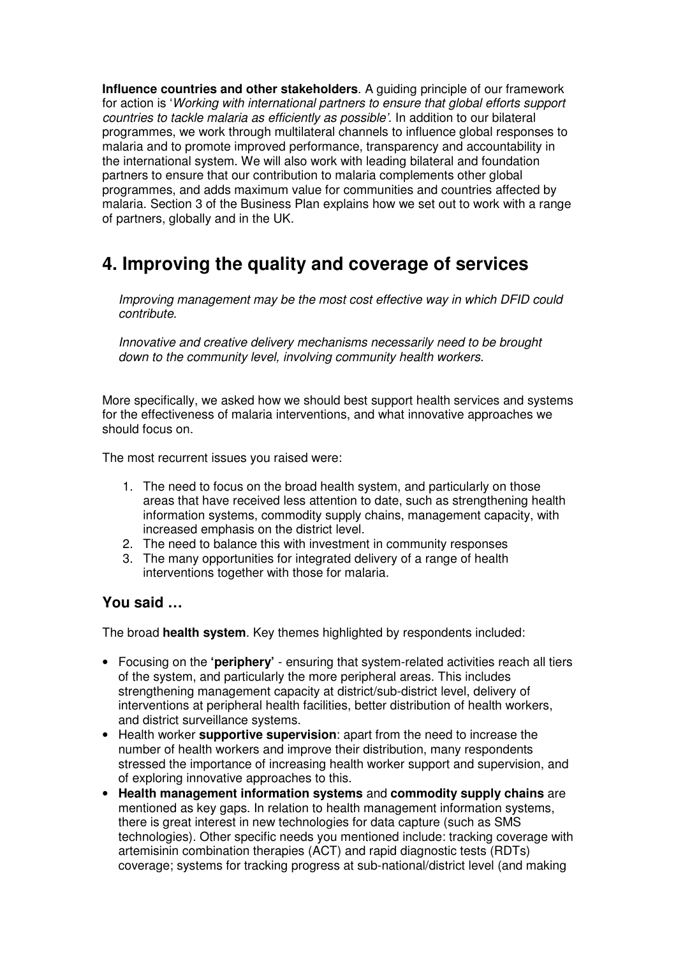**Influence countries and other stakeholders**. A guiding principle of our framework for action is 'Working with international partners to ensure that global efforts support countries to tackle malaria as efficiently as possible'. In addition to our bilateral programmes, we work through multilateral channels to influence global responses to malaria and to promote improved performance, transparency and accountability in the international system. We will also work with leading bilateral and foundation partners to ensure that our contribution to malaria complements other global programmes, and adds maximum value for communities and countries affected by malaria. Section 3 of the Business Plan explains how we set out to work with a range of partners, globally and in the UK.

## **4. Improving the quality and coverage of services**

Improving management may be the most cost effective way in which DFID could contribute.

Innovative and creative delivery mechanisms necessarily need to be brought down to the community level, involving community health workers.

More specifically, we asked how we should best support health services and systems for the effectiveness of malaria interventions, and what innovative approaches we should focus on.

The most recurrent issues you raised were:

- 1. The need to focus on the broad health system, and particularly on those areas that have received less attention to date, such as strengthening health information systems, commodity supply chains, management capacity, with increased emphasis on the district level.
- 2. The need to balance this with investment in community responses
- 3. The many opportunities for integrated delivery of a range of health interventions together with those for malaria.

## **You said …**

The broad **health system**. Key themes highlighted by respondents included:

- Focusing on the **'periphery'** ensuring that system-related activities reach all tiers of the system, and particularly the more peripheral areas. This includes strengthening management capacity at district/sub-district level, delivery of interventions at peripheral health facilities, better distribution of health workers, and district surveillance systems.
- Health worker **supportive supervision**: apart from the need to increase the number of health workers and improve their distribution, many respondents stressed the importance of increasing health worker support and supervision, and of exploring innovative approaches to this.
- **Health management information systems** and **commodity supply chains** are mentioned as key gaps. In relation to health management information systems, there is great interest in new technologies for data capture (such as SMS technologies). Other specific needs you mentioned include: tracking coverage with artemisinin combination therapies (ACT) and rapid diagnostic tests (RDTs) coverage; systems for tracking progress at sub-national/district level (and making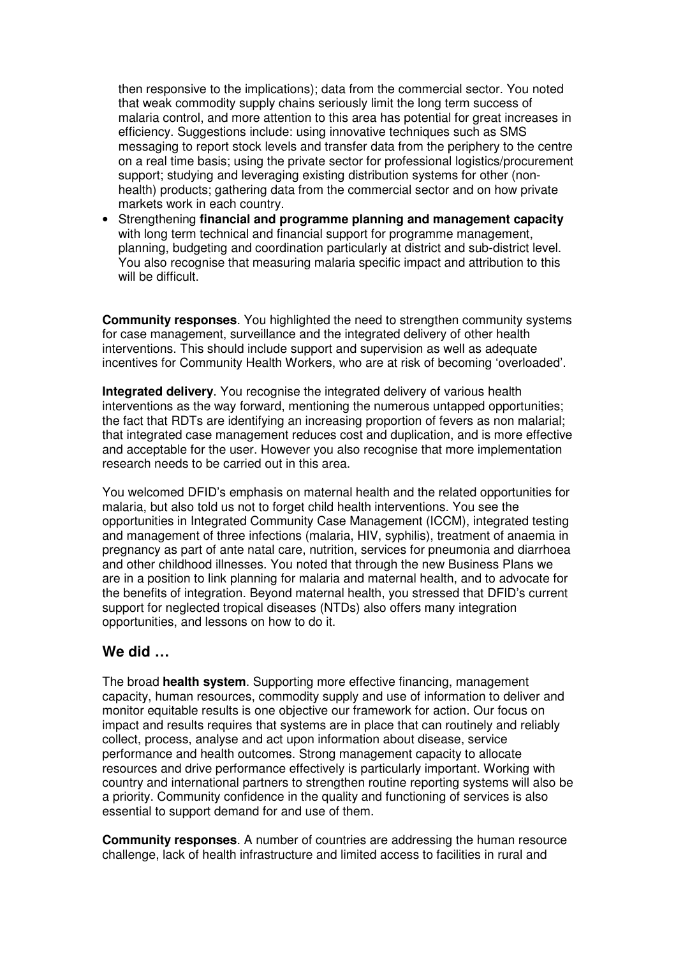then responsive to the implications); data from the commercial sector. You noted that weak commodity supply chains seriously limit the long term success of malaria control, and more attention to this area has potential for great increases in efficiency. Suggestions include: using innovative techniques such as SMS messaging to report stock levels and transfer data from the periphery to the centre on a real time basis; using the private sector for professional logistics/procurement support; studying and leveraging existing distribution systems for other (nonhealth) products; gathering data from the commercial sector and on how private markets work in each country.

• Strengthening **financial and programme planning and management capacity**  with long term technical and financial support for programme management, planning, budgeting and coordination particularly at district and sub-district level. You also recognise that measuring malaria specific impact and attribution to this will be difficult.

**Community responses.** You highlighted the need to strengthen community systems for case management, surveillance and the integrated delivery of other health interventions. This should include support and supervision as well as adequate incentives for Community Health Workers, who are at risk of becoming 'overloaded'.

**Integrated delivery**. You recognise the integrated delivery of various health interventions as the way forward, mentioning the numerous untapped opportunities; the fact that RDTs are identifying an increasing proportion of fevers as non malarial; that integrated case management reduces cost and duplication, and is more effective and acceptable for the user. However you also recognise that more implementation research needs to be carried out in this area.

You welcomed DFID's emphasis on maternal health and the related opportunities for malaria, but also told us not to forget child health interventions. You see the opportunities in Integrated Community Case Management (ICCM), integrated testing and management of three infections (malaria, HIV, syphilis), treatment of anaemia in pregnancy as part of ante natal care, nutrition, services for pneumonia and diarrhoea and other childhood illnesses. You noted that through the new Business Plans we are in a position to link planning for malaria and maternal health, and to advocate for the benefits of integration. Beyond maternal health, you stressed that DFID's current support for neglected tropical diseases (NTDs) also offers many integration opportunities, and lessons on how to do it.

### **We did …**

The broad **health system**. Supporting more effective financing, management capacity, human resources, commodity supply and use of information to deliver and monitor equitable results is one objective our framework for action. Our focus on impact and results requires that systems are in place that can routinely and reliably collect, process, analyse and act upon information about disease, service performance and health outcomes. Strong management capacity to allocate resources and drive performance effectively is particularly important. Working with country and international partners to strengthen routine reporting systems will also be a priority. Community confidence in the quality and functioning of services is also essential to support demand for and use of them.

**Community responses**. A number of countries are addressing the human resource challenge, lack of health infrastructure and limited access to facilities in rural and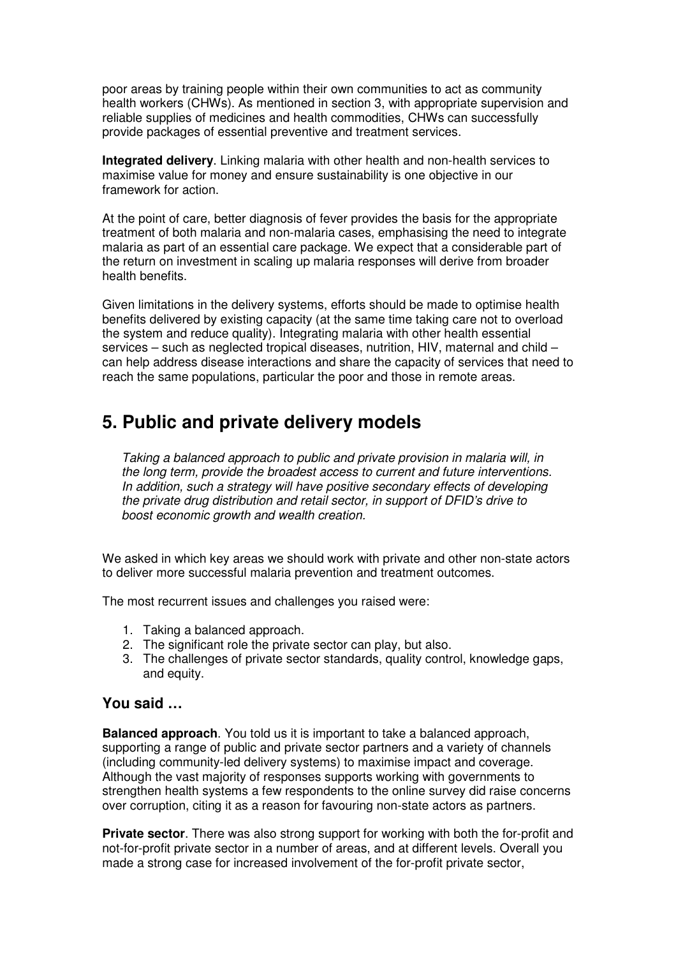poor areas by training people within their own communities to act as community health workers (CHWs). As mentioned in section 3, with appropriate supervision and reliable supplies of medicines and health commodities, CHWs can successfully provide packages of essential preventive and treatment services.

**Integrated delivery**. Linking malaria with other health and non-health services to maximise value for money and ensure sustainability is one objective in our framework for action.

At the point of care, better diagnosis of fever provides the basis for the appropriate treatment of both malaria and non-malaria cases, emphasising the need to integrate malaria as part of an essential care package. We expect that a considerable part of the return on investment in scaling up malaria responses will derive from broader health benefits.

Given limitations in the delivery systems, efforts should be made to optimise health benefits delivered by existing capacity (at the same time taking care not to overload the system and reduce quality). Integrating malaria with other health essential services – such as neglected tropical diseases, nutrition, HIV, maternal and child – can help address disease interactions and share the capacity of services that need to reach the same populations, particular the poor and those in remote areas.

## **5. Public and private delivery models**

Taking a balanced approach to public and private provision in malaria will, in the long term, provide the broadest access to current and future interventions. In addition, such a strategy will have positive secondary effects of developing the private drug distribution and retail sector, in support of DFID's drive to boost economic growth and wealth creation.

We asked in which key areas we should work with private and other non-state actors to deliver more successful malaria prevention and treatment outcomes.

The most recurrent issues and challenges you raised were:

- 1. Taking a balanced approach.
- 2. The significant role the private sector can play, but also.
- 3. The challenges of private sector standards, quality control, knowledge gaps, and equity.

### **You said …**

**Balanced approach**. You told us it is important to take a balanced approach, supporting a range of public and private sector partners and a variety of channels (including community-led delivery systems) to maximise impact and coverage. Although the vast majority of responses supports working with governments to strengthen health systems a few respondents to the online survey did raise concerns over corruption, citing it as a reason for favouring non-state actors as partners.

**Private sector**. There was also strong support for working with both the for-profit and not-for-profit private sector in a number of areas, and at different levels. Overall you made a strong case for increased involvement of the for-profit private sector,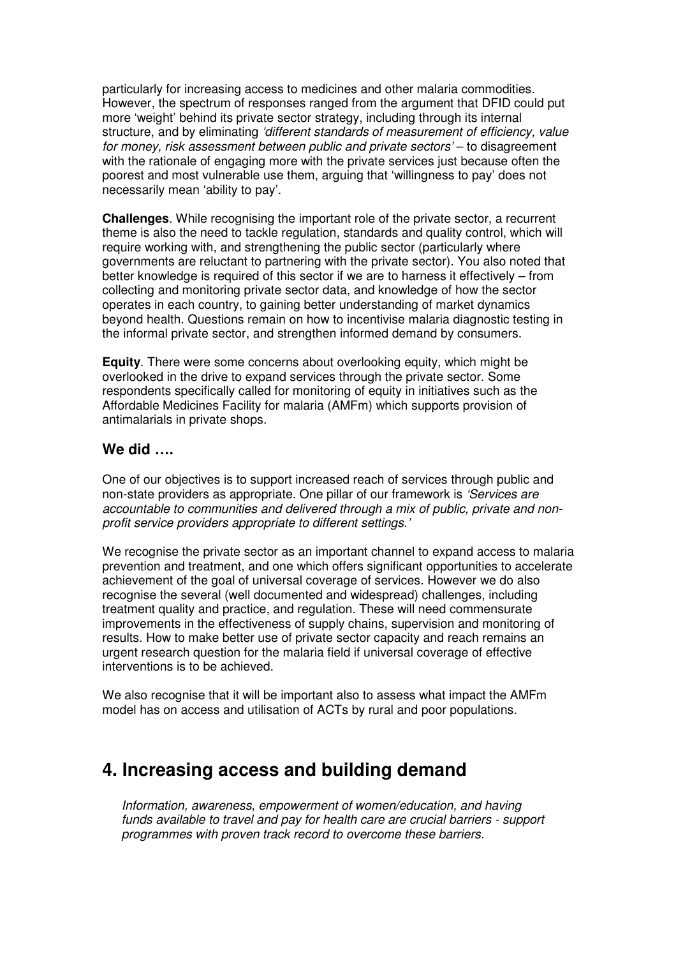particularly for increasing access to medicines and other malaria commodities. However, the spectrum of responses ranged from the argument that DFID could put more 'weight' behind its private sector strategy, including through its internal structure, and by eliminating 'different standards of measurement of efficiency, value for money, risk assessment between public and private sectors' – to disagreement with the rationale of engaging more with the private services just because often the poorest and most vulnerable use them, arguing that 'willingness to pay' does not necessarily mean 'ability to pay'.

**Challenges**. While recognising the important role of the private sector, a recurrent theme is also the need to tackle regulation, standards and quality control, which will require working with, and strengthening the public sector (particularly where governments are reluctant to partnering with the private sector). You also noted that better knowledge is required of this sector if we are to harness it effectively – from collecting and monitoring private sector data, and knowledge of how the sector operates in each country, to gaining better understanding of market dynamics beyond health. Questions remain on how to incentivise malaria diagnostic testing in the informal private sector, and strengthen informed demand by consumers.

**Equity**. There were some concerns about overlooking equity, which might be overlooked in the drive to expand services through the private sector. Some respondents specifically called for monitoring of equity in initiatives such as the Affordable Medicines Facility for malaria (AMFm) which supports provision of antimalarials in private shops.

### **We did ….**

One of our objectives is to support increased reach of services through public and non-state providers as appropriate. One pillar of our framework is 'Services are accountable to communities and delivered through a mix of public, private and nonprofit service providers appropriate to different settings.'

We recognise the private sector as an important channel to expand access to malaria prevention and treatment, and one which offers significant opportunities to accelerate achievement of the goal of universal coverage of services. However we do also recognise the several (well documented and widespread) challenges, including treatment quality and practice, and regulation. These will need commensurate improvements in the effectiveness of supply chains, supervision and monitoring of results. How to make better use of private sector capacity and reach remains an urgent research question for the malaria field if universal coverage of effective interventions is to be achieved.

We also recognise that it will be important also to assess what impact the AMFm model has on access and utilisation of ACTs by rural and poor populations.

## **4. Increasing access and building demand**

Information, awareness, empowerment of women/education, and having funds available to travel and pay for health care are crucial barriers - support programmes with proven track record to overcome these barriers.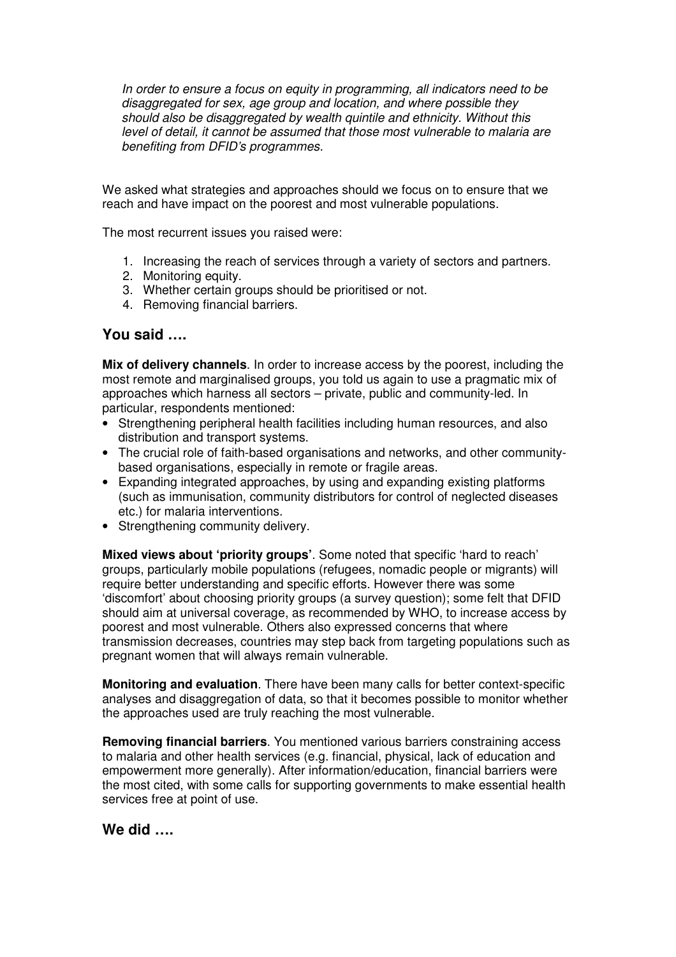In order to ensure a focus on equity in programming, all indicators need to be disaggregated for sex, age group and location, and where possible they should also be disaggregated by wealth quintile and ethnicity. Without this level of detail, it cannot be assumed that those most vulnerable to malaria are benefiting from DFID's programmes.

We asked what strategies and approaches should we focus on to ensure that we reach and have impact on the poorest and most vulnerable populations.

The most recurrent issues you raised were:

- 1. Increasing the reach of services through a variety of sectors and partners.
- 2. Monitoring equity.
- 3. Whether certain groups should be prioritised or not.
- 4. Removing financial barriers.

### **You said ….**

**Mix of delivery channels**. In order to increase access by the poorest, including the most remote and marginalised groups, you told us again to use a pragmatic mix of approaches which harness all sectors – private, public and community-led. In particular, respondents mentioned:

- Strengthening peripheral health facilities including human resources, and also distribution and transport systems.
- The crucial role of faith-based organisations and networks, and other communitybased organisations, especially in remote or fragile areas.
- Expanding integrated approaches, by using and expanding existing platforms (such as immunisation, community distributors for control of neglected diseases etc.) for malaria interventions.
- Strengthening community delivery.

**Mixed views about 'priority groups'**. Some noted that specific 'hard to reach' groups, particularly mobile populations (refugees, nomadic people or migrants) will require better understanding and specific efforts. However there was some 'discomfort' about choosing priority groups (a survey question); some felt that DFID should aim at universal coverage, as recommended by WHO, to increase access by poorest and most vulnerable. Others also expressed concerns that where transmission decreases, countries may step back from targeting populations such as pregnant women that will always remain vulnerable.

**Monitoring and evaluation**. There have been many calls for better context-specific analyses and disaggregation of data, so that it becomes possible to monitor whether the approaches used are truly reaching the most vulnerable.

**Removing financial barriers**. You mentioned various barriers constraining access to malaria and other health services (e.g. financial, physical, lack of education and empowerment more generally). After information/education, financial barriers were the most cited, with some calls for supporting governments to make essential health services free at point of use.

## **We did ….**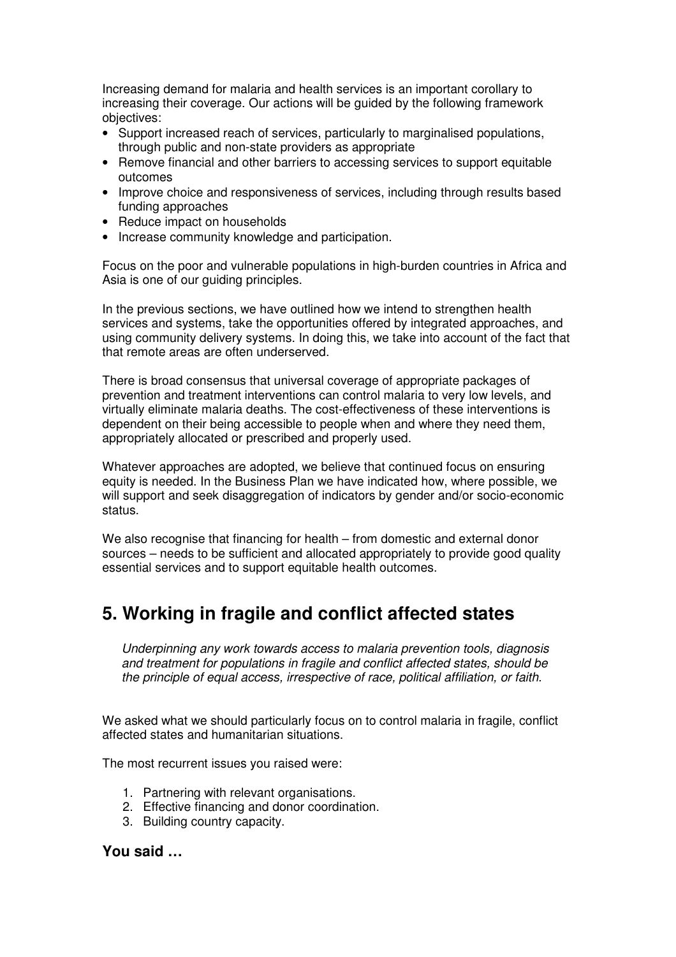Increasing demand for malaria and health services is an important corollary to increasing their coverage. Our actions will be guided by the following framework objectives:

- Support increased reach of services, particularly to marginalised populations, through public and non-state providers as appropriate
- Remove financial and other barriers to accessing services to support equitable outcomes
- Improve choice and responsiveness of services, including through results based funding approaches
- Reduce impact on households
- Increase community knowledge and participation.

Focus on the poor and vulnerable populations in high-burden countries in Africa and Asia is one of our guiding principles.

In the previous sections, we have outlined how we intend to strengthen health services and systems, take the opportunities offered by integrated approaches, and using community delivery systems. In doing this, we take into account of the fact that that remote areas are often underserved.

There is broad consensus that universal coverage of appropriate packages of prevention and treatment interventions can control malaria to very low levels, and virtually eliminate malaria deaths. The cost-effectiveness of these interventions is dependent on their being accessible to people when and where they need them, appropriately allocated or prescribed and properly used.

Whatever approaches are adopted, we believe that continued focus on ensuring equity is needed. In the Business Plan we have indicated how, where possible, we will support and seek disaggregation of indicators by gender and/or socio-economic status.

We also recognise that financing for health – from domestic and external donor sources – needs to be sufficient and allocated appropriately to provide good quality essential services and to support equitable health outcomes.

## **5. Working in fragile and conflict affected states**

Underpinning any work towards access to malaria prevention tools, diagnosis and treatment for populations in fragile and conflict affected states, should be the principle of equal access, irrespective of race, political affiliation, or faith.

We asked what we should particularly focus on to control malaria in fragile, conflict affected states and humanitarian situations.

The most recurrent issues you raised were:

- 1. Partnering with relevant organisations.
- 2. Effective financing and donor coordination.
- 3. Building country capacity.

## **You said …**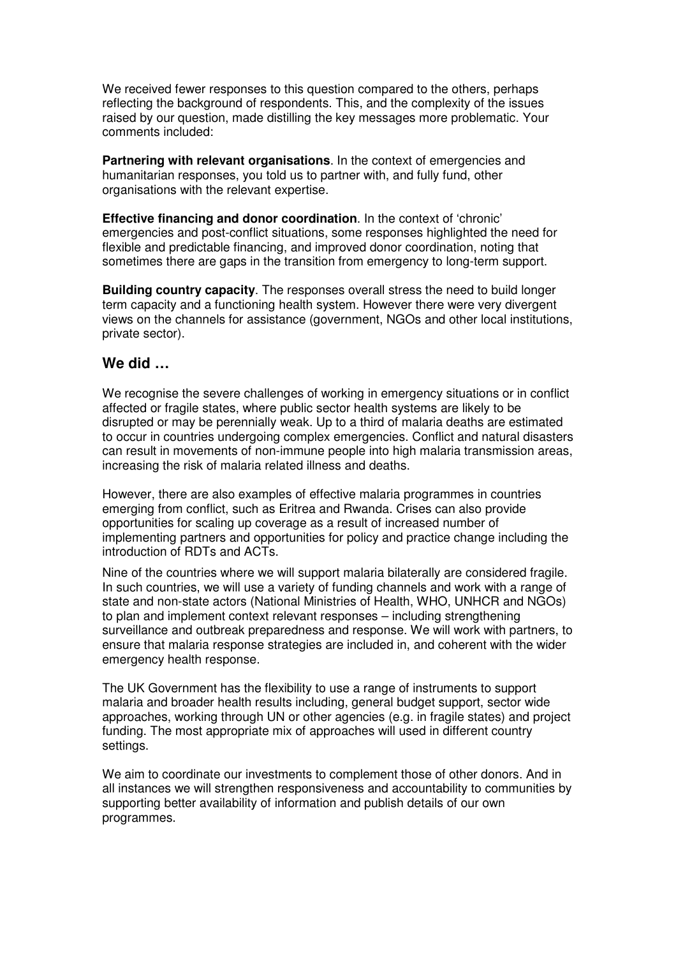We received fewer responses to this question compared to the others, perhaps reflecting the background of respondents. This, and the complexity of the issues raised by our question, made distilling the key messages more problematic. Your comments included:

**Partnering with relevant organisations**. In the context of emergencies and humanitarian responses, you told us to partner with, and fully fund, other organisations with the relevant expertise.

**Effective financing and donor coordination**. In the context of 'chronic' emergencies and post-conflict situations, some responses highlighted the need for flexible and predictable financing, and improved donor coordination, noting that sometimes there are gaps in the transition from emergency to long-term support.

**Building country capacity**. The responses overall stress the need to build longer term capacity and a functioning health system. However there were very divergent views on the channels for assistance (government, NGOs and other local institutions, private sector).

## **We did …**

We recognise the severe challenges of working in emergency situations or in conflict affected or fragile states, where public sector health systems are likely to be disrupted or may be perennially weak. Up to a third of malaria deaths are estimated to occur in countries undergoing complex emergencies. Conflict and natural disasters can result in movements of non-immune people into high malaria transmission areas, increasing the risk of malaria related illness and deaths.

However, there are also examples of effective malaria programmes in countries emerging from conflict, such as Eritrea and Rwanda. Crises can also provide opportunities for scaling up coverage as a result of increased number of implementing partners and opportunities for policy and practice change including the introduction of RDTs and ACTs.

Nine of the countries where we will support malaria bilaterally are considered fragile. In such countries, we will use a variety of funding channels and work with a range of state and non-state actors (National Ministries of Health, WHO, UNHCR and NGOs) to plan and implement context relevant responses – including strengthening surveillance and outbreak preparedness and response. We will work with partners, to ensure that malaria response strategies are included in, and coherent with the wider emergency health response.

The UK Government has the flexibility to use a range of instruments to support malaria and broader health results including, general budget support, sector wide approaches, working through UN or other agencies (e.g. in fragile states) and project funding. The most appropriate mix of approaches will used in different country settings.

We aim to coordinate our investments to complement those of other donors. And in all instances we will strengthen responsiveness and accountability to communities by supporting better availability of information and publish details of our own programmes.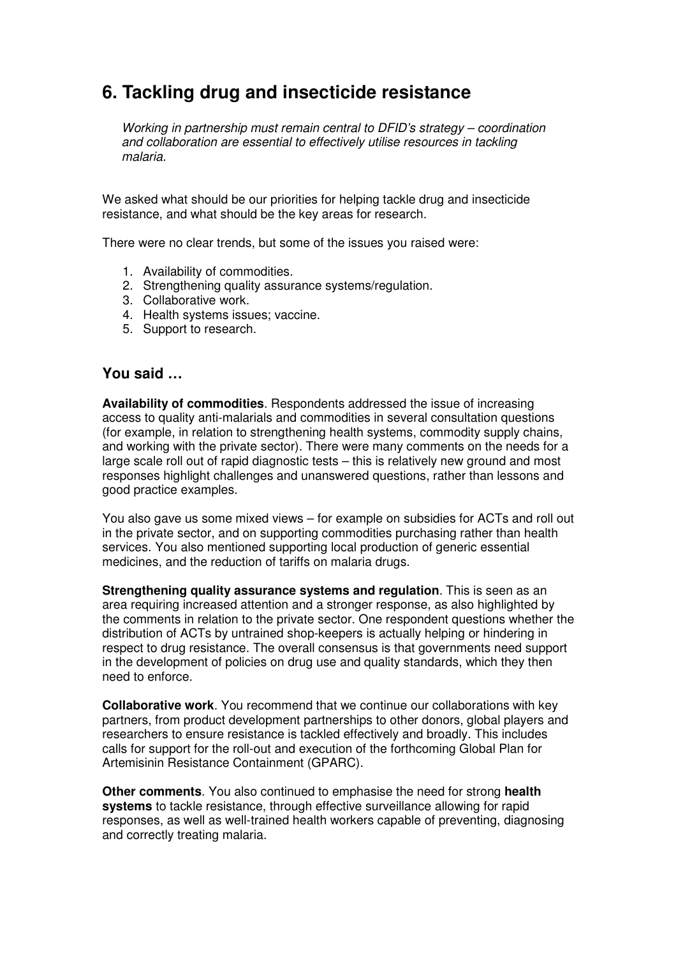## **6. Tackling drug and insecticide resistance**

Working in partnership must remain central to DFID's strategy – coordination and collaboration are essential to effectively utilise resources in tackling malaria.

We asked what should be our priorities for helping tackle drug and insecticide resistance, and what should be the key areas for research.

There were no clear trends, but some of the issues you raised were:

- 1. Availability of commodities.
- 2. Strengthening quality assurance systems/regulation.
- 3. Collaborative work.
- 4. Health systems issues; vaccine.
- 5. Support to research.

## **You said …**

**Availability of commodities**. Respondents addressed the issue of increasing access to quality anti-malarials and commodities in several consultation questions (for example, in relation to strengthening health systems, commodity supply chains, and working with the private sector). There were many comments on the needs for a large scale roll out of rapid diagnostic tests – this is relatively new ground and most responses highlight challenges and unanswered questions, rather than lessons and good practice examples.

You also gave us some mixed views – for example on subsidies for ACTs and roll out in the private sector, and on supporting commodities purchasing rather than health services. You also mentioned supporting local production of generic essential medicines, and the reduction of tariffs on malaria drugs.

**Strengthening quality assurance systems and regulation**. This is seen as an area requiring increased attention and a stronger response, as also highlighted by the comments in relation to the private sector. One respondent questions whether the distribution of ACTs by untrained shop-keepers is actually helping or hindering in respect to drug resistance. The overall consensus is that governments need support in the development of policies on drug use and quality standards, which they then need to enforce.

**Collaborative work**. You recommend that we continue our collaborations with key partners, from product development partnerships to other donors, global players and researchers to ensure resistance is tackled effectively and broadly. This includes calls for support for the roll-out and execution of the forthcoming Global Plan for Artemisinin Resistance Containment (GPARC).

**Other comments**. You also continued to emphasise the need for strong **health systems** to tackle resistance, through effective surveillance allowing for rapid responses, as well as well-trained health workers capable of preventing, diagnosing and correctly treating malaria.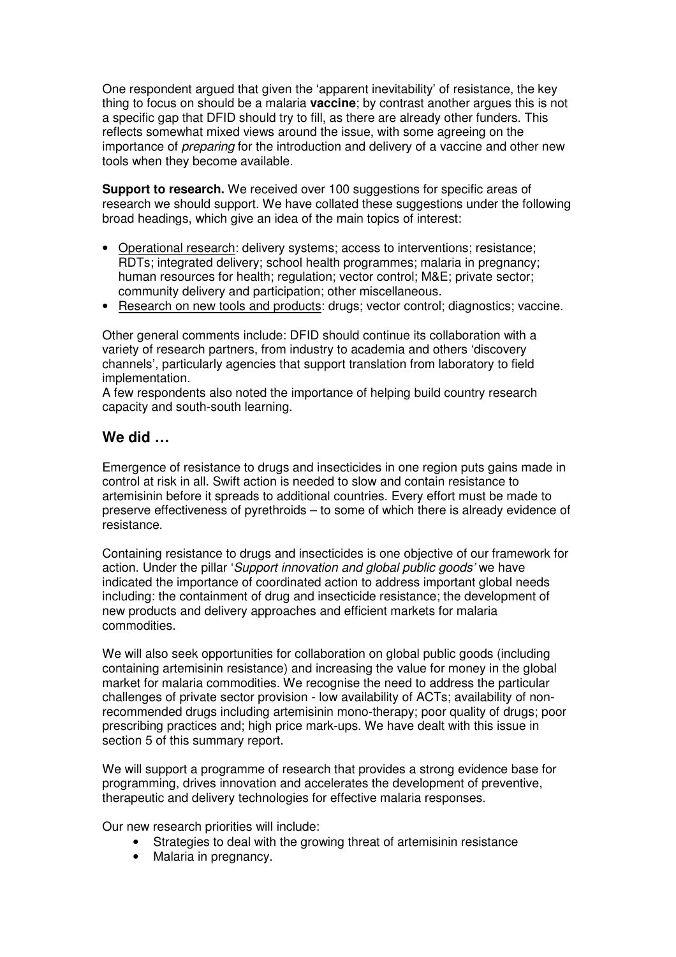One respondent argued that given the 'apparent inevitability' of resistance, the key thing to focus on should be a malaria **vaccine**; by contrast another argues this is not a specific gap that DFID should try to fill, as there are already other funders. This reflects somewhat mixed views around the issue, with some agreeing on the importance of preparing for the introduction and delivery of a vaccine and other new tools when they become available.

**Support to research.** We received over 100 suggestions for specific areas of research we should support. We have collated these suggestions under the following broad headings, which give an idea of the main topics of interest:

- Operational research: delivery systems; access to interventions; resistance; RDTs; integrated delivery; school health programmes; malaria in pregnancy; human resources for health; regulation; vector control; M&E; private sector; community delivery and participation; other miscellaneous.
- Research on new tools and products: drugs; vector control; diagnostics; vaccine.

Other general comments include: DFID should continue its collaboration with a variety of research partners, from industry to academia and others 'discovery channels', particularly agencies that support translation from laboratory to field implementation.

A few respondents also noted the importance of helping build country research capacity and south-south learning.

## **We did …**

Emergence of resistance to drugs and insecticides in one region puts gains made in control at risk in all. Swift action is needed to slow and contain resistance to artemisinin before it spreads to additional countries. Every effort must be made to preserve effectiveness of pyrethroids – to some of which there is already evidence of resistance.

Containing resistance to drugs and insecticides is one objective of our framework for action. Under the pillar 'Support innovation and global public goods' we have indicated the importance of coordinated action to address important global needs including: the containment of drug and insecticide resistance; the development of new products and delivery approaches and efficient markets for malaria commodities.

We will also seek opportunities for collaboration on global public goods (including containing artemisinin resistance) and increasing the value for money in the global market for malaria commodities. We recognise the need to address the particular challenges of private sector provision - low availability of ACTs; availability of nonrecommended drugs including artemisinin mono-therapy; poor quality of drugs; poor prescribing practices and; high price mark-ups. We have dealt with this issue in section 5 of this summary report.

We will support a programme of research that provides a strong evidence base for programming, drives innovation and accelerates the development of preventive, therapeutic and delivery technologies for effective malaria responses.

Our new research priorities will include:

- Strategies to deal with the growing threat of artemisinin resistance
- Malaria in pregnancy.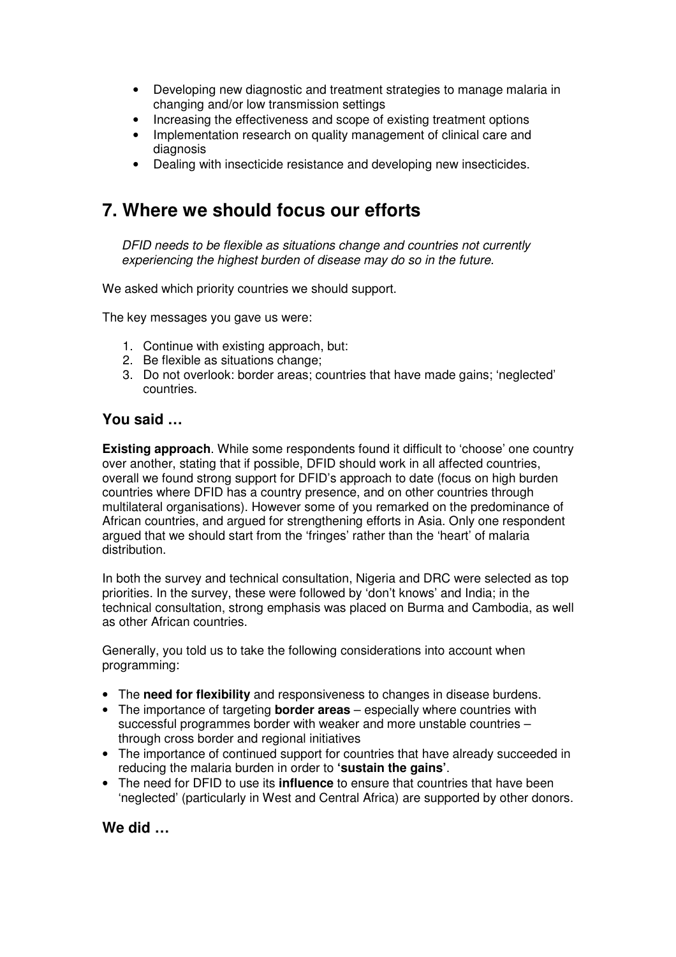- Developing new diagnostic and treatment strategies to manage malaria in changing and/or low transmission settings
- Increasing the effectiveness and scope of existing treatment options
- Implementation research on quality management of clinical care and diagnosis
- Dealing with insecticide resistance and developing new insecticides.

## **7. Where we should focus our efforts**

DFID needs to be flexible as situations change and countries not currently experiencing the highest burden of disease may do so in the future.

We asked which priority countries we should support.

The key messages you gave us were:

- 1. Continue with existing approach, but:
- 2. Be flexible as situations change;
- 3. Do not overlook: border areas; countries that have made gains; 'neglected' countries.

## **You said …**

**Existing approach**. While some respondents found it difficult to 'choose' one country over another, stating that if possible, DFID should work in all affected countries, overall we found strong support for DFID's approach to date (focus on high burden countries where DFID has a country presence, and on other countries through multilateral organisations). However some of you remarked on the predominance of African countries, and argued for strengthening efforts in Asia. Only one respondent argued that we should start from the 'fringes' rather than the 'heart' of malaria distribution.

In both the survey and technical consultation, Nigeria and DRC were selected as top priorities. In the survey, these were followed by 'don't knows' and India; in the technical consultation, strong emphasis was placed on Burma and Cambodia, as well as other African countries.

Generally, you told us to take the following considerations into account when programming:

- The **need for flexibility** and responsiveness to changes in disease burdens.
- The importance of targeting **border areas** especially where countries with successful programmes border with weaker and more unstable countries – through cross border and regional initiatives
- The importance of continued support for countries that have already succeeded in reducing the malaria burden in order to **'sustain the gains'**.
- The need for DFID to use its **influence** to ensure that countries that have been 'neglected' (particularly in West and Central Africa) are supported by other donors.

**We did …**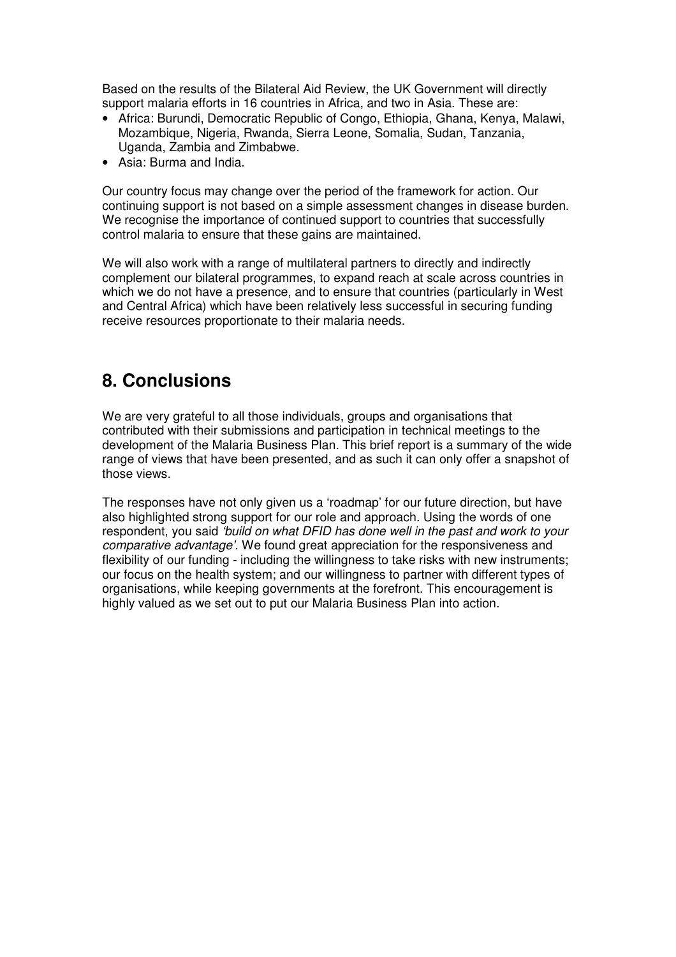Based on the results of the Bilateral Aid Review, the UK Government will directly support malaria efforts in 16 countries in Africa, and two in Asia. These are:

- Africa: Burundi, Democratic Republic of Congo, Ethiopia, Ghana, Kenya, Malawi, Mozambique, Nigeria, Rwanda, Sierra Leone, Somalia, Sudan, Tanzania, Uganda, Zambia and Zimbabwe.
- Asia: Burma and India.

Our country focus may change over the period of the framework for action. Our continuing support is not based on a simple assessment changes in disease burden. We recognise the importance of continued support to countries that successfully control malaria to ensure that these gains are maintained.

We will also work with a range of multilateral partners to directly and indirectly complement our bilateral programmes, to expand reach at scale across countries in which we do not have a presence, and to ensure that countries (particularly in West and Central Africa) which have been relatively less successful in securing funding receive resources proportionate to their malaria needs.

## **8. Conclusions**

We are very grateful to all those individuals, groups and organisations that contributed with their submissions and participation in technical meetings to the development of the Malaria Business Plan. This brief report is a summary of the wide range of views that have been presented, and as such it can only offer a snapshot of those views.

The responses have not only given us a 'roadmap' for our future direction, but have also highlighted strong support for our role and approach. Using the words of one respondent, you said 'build on what DFID has done well in the past and work to your comparative advantage'. We found great appreciation for the responsiveness and flexibility of our funding - including the willingness to take risks with new instruments; our focus on the health system; and our willingness to partner with different types of organisations, while keeping governments at the forefront. This encouragement is highly valued as we set out to put our Malaria Business Plan into action.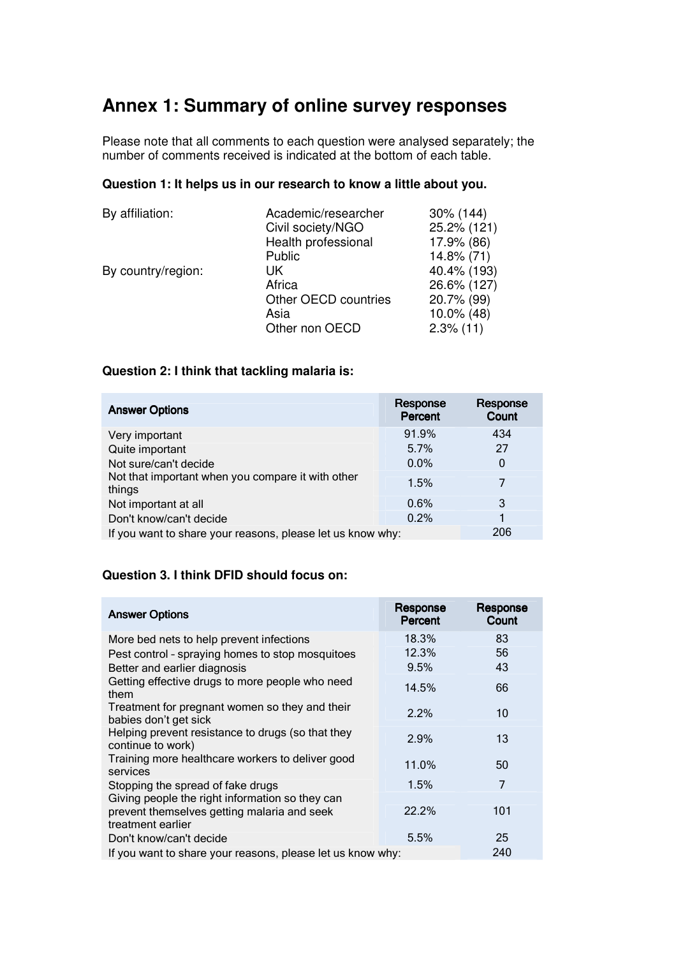## **Annex 1: Summary of online survey responses**

Please note that all comments to each question were analysed separately; the number of comments received is indicated at the bottom of each table.

## **Question 1: It helps us in our research to know a little about you.**

| By affiliation:    | Academic/researcher  | $30\%$ (144)  |
|--------------------|----------------------|---------------|
|                    | Civil society/NGO    | 25.2% (121)   |
|                    | Health professional  | 17.9% (86)    |
|                    | Public               | 14.8% (71)    |
| By country/region: | UK                   | 40.4% (193)   |
|                    | Africa               | 26.6% (127)   |
|                    | Other OECD countries | 20.7% (99)    |
|                    | Asia                 | $10.0\%$ (48) |
|                    | Other non OECD       | $2.3\%$ (11)  |

## **Question 2: I think that tackling malaria is:**

| <b>Answer Options</b>                                       | Response<br>Percent | Response<br>Count |
|-------------------------------------------------------------|---------------------|-------------------|
| Very important                                              | 91.9%               | 434               |
| Quite important                                             | 5.7%                | 27                |
| Not sure/can't decide                                       | $0.0\%$             | $\Omega$          |
| Not that important when you compare it with other<br>things | 1.5%                | 7                 |
| Not important at all                                        | 0.6%                | 3                 |
| Don't know/can't decide                                     | 0.2%                | 1                 |
| If you want to share your reasons, please let us know why:  |                     | 206               |

## **Question 3. I think DFID should focus on:**

| <b>Answer Options</b>                                                                                               | Response<br>Percent | Response<br>Count |
|---------------------------------------------------------------------------------------------------------------------|---------------------|-------------------|
| More bed nets to help prevent infections                                                                            | 18.3%               | 83                |
| Pest control - spraying homes to stop mosquitoes                                                                    | 12.3%               | 56                |
| Better and earlier diagnosis                                                                                        | 9.5%                | 43                |
| Getting effective drugs to more people who need<br>them                                                             | 14.5%               | 66                |
| Treatment for pregnant women so they and their<br>babies don't get sick                                             | 2.2%                | 10                |
| Helping prevent resistance to drugs (so that they<br>continue to work)                                              | 2.9%                | 13                |
| Training more healthcare workers to deliver good<br>services                                                        | 11.0%               | 50                |
| Stopping the spread of fake drugs                                                                                   | 1.5%                | 7                 |
| Giving people the right information so they can<br>prevent themselves getting malaria and seek<br>treatment earlier | 22.2%               | 101               |
| Don't know/can't decide                                                                                             | 5.5%                | 25                |
| If you want to share your reasons, please let us know why:                                                          |                     | 240               |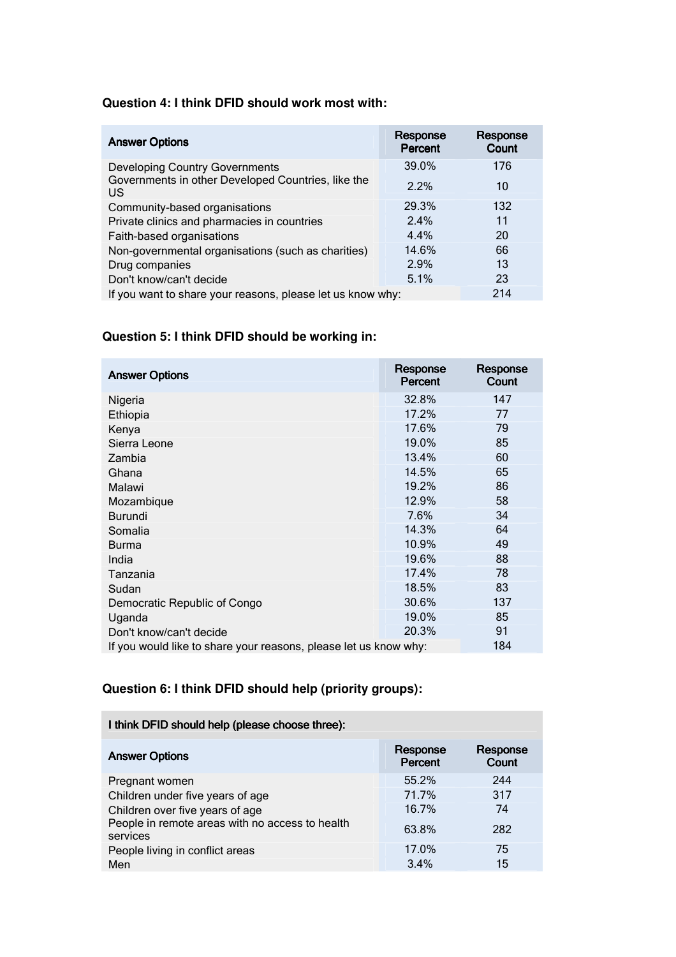### **Question 4: I think DFID should work most with:**

| <b>Answer Options</b>                                      | Response<br>Percent | Response<br>Count |
|------------------------------------------------------------|---------------------|-------------------|
| <b>Developing Country Governments</b>                      | 39.0%               | 176               |
| Governments in other Developed Countries, like the<br>US   | 2.2%                | 10                |
| Community-based organisations                              | 29.3%               | 132               |
| Private clinics and pharmacies in countries                | 2.4%                | 11                |
| Faith-based organisations                                  | 4.4%                | 20                |
| Non-governmental organisations (such as charities)         | 14.6%               | 66                |
| Drug companies                                             | 2.9%                | 13                |
| Don't know/can't decide                                    | 5.1%                | 23                |
| If you want to share your reasons, please let us know why: |                     | 214               |

## **Question 5: I think DFID should be working in:**

| <b>Answer Options</b>                                            | Response<br>Percent | Response<br>Count |
|------------------------------------------------------------------|---------------------|-------------------|
| Nigeria                                                          | 32.8%               | 147               |
| Ethiopia                                                         | 17.2%               | 77                |
| Kenya                                                            | 17.6%               | 79                |
| Sierra Leone                                                     | 19.0%               | 85                |
| Zambia                                                           | 13.4%               | 60                |
| Ghana                                                            | 14.5%               | 65                |
| Malawi                                                           | 19.2%               | 86                |
| Mozambique                                                       | 12.9%               | 58                |
| <b>Burundi</b>                                                   | 7.6%                | 34                |
| Somalia                                                          | 14.3%               | 64                |
| <b>Burma</b>                                                     | 10.9%               | 49                |
| India                                                            | 19.6%               | 88                |
| Tanzania                                                         | 17.4%               | 78                |
| Sudan                                                            | 18.5%               | 83                |
| Democratic Republic of Congo                                     | 30.6%               | 137               |
| Uganda                                                           | 19.0%               | 85                |
| Don't know/can't decide                                          | 20.3%               | 91                |
| If you would like to share your reasons, please let us know why: |                     | 184               |

## **Question 6: I think DFID should help (priority groups):**

**Contract Contract** 

| I think DFID should help (please choose three):             |                     |                   |
|-------------------------------------------------------------|---------------------|-------------------|
| <b>Answer Options</b>                                       | Response<br>Percent | Response<br>Count |
| Pregnant women                                              | 55.2%               | 244               |
| Children under five years of age                            | 71.7%               | 317               |
| Children over five years of age                             | 16.7%               | 74                |
| People in remote areas with no access to health<br>services | 63.8%               | 282               |
| People living in conflict areas                             | 17.0%               | 75                |
| Men                                                         | 3.4%                | 15                |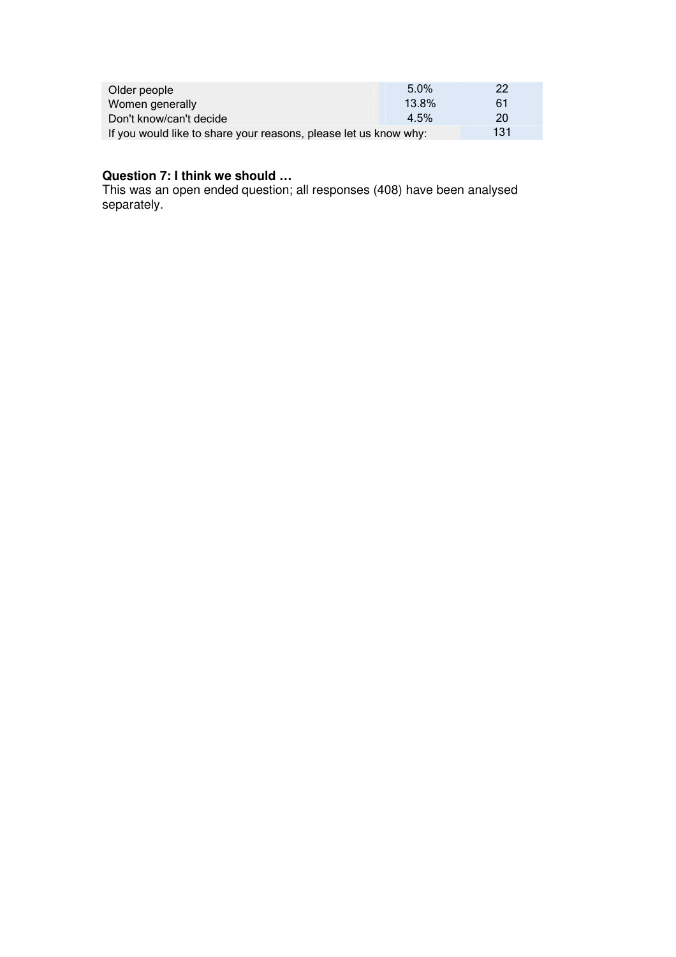| Older people                                                     | $5.0\%$ | 22  |
|------------------------------------------------------------------|---------|-----|
| Women generally                                                  | 13.8%   | 61  |
| Don't know/can't decide                                          | 4.5%    | 20  |
| If you would like to share your reasons, please let us know why: |         | 131 |

#### **Question 7: I think we should …**

This was an open ended question; all responses (408) have been analysed separately.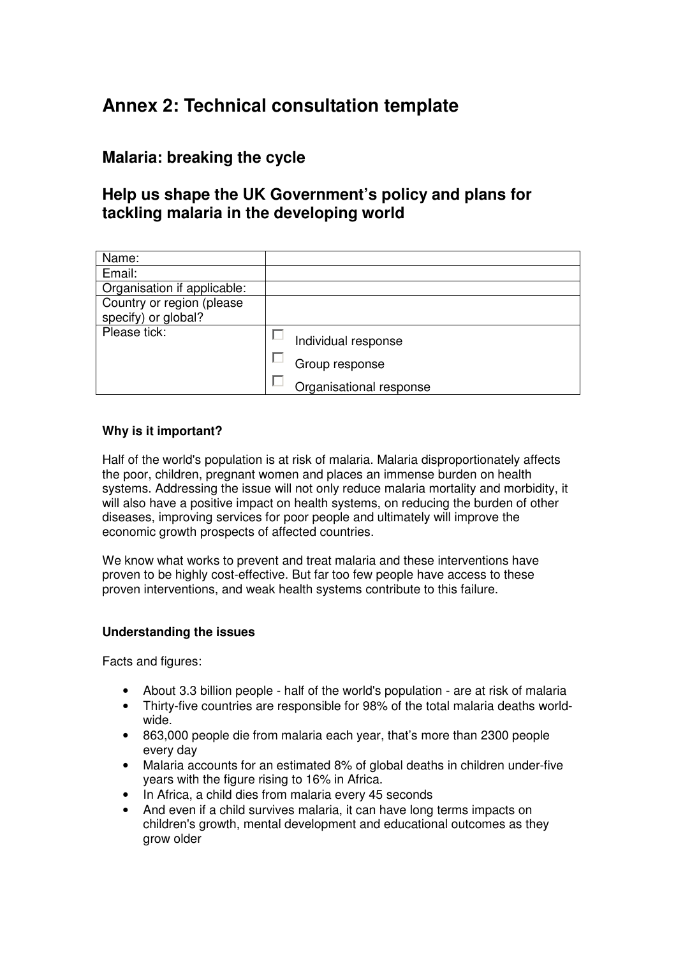## **Annex 2: Technical consultation template**

## **Malaria: breaking the cycle**

## **Help us shape the UK Government's policy and plans for tackling malaria in the developing world**

| Name:                       |                         |
|-----------------------------|-------------------------|
| Email:                      |                         |
| Organisation if applicable: |                         |
| Country or region (please   |                         |
| specify) or global?         |                         |
| Please tick:                | Individual response     |
|                             | Group response          |
|                             | Organisational response |

### **Why is it important?**

Half of the world's population is at risk of malaria. Malaria disproportionately affects the poor, children, pregnant women and places an immense burden on health systems. Addressing the issue will not only reduce malaria mortality and morbidity, it will also have a positive impact on health systems, on reducing the burden of other diseases, improving services for poor people and ultimately will improve the economic growth prospects of affected countries.

We know what works to prevent and treat malaria and these interventions have proven to be highly cost-effective. But far too few people have access to these proven interventions, and weak health systems contribute to this failure.

### **Understanding the issues**

Facts and figures:

- About 3.3 billion people half of the world's population are at risk of malaria
- Thirty-five countries are responsible for 98% of the total malaria deaths worldwide.
- 863,000 people die from malaria each year, that's more than 2300 people every day
- Malaria accounts for an estimated 8% of global deaths in children under-five years with the figure rising to 16% in Africa.
- In Africa, a child dies from malaria every 45 seconds
- And even if a child survives malaria, it can have long terms impacts on children's growth, mental development and educational outcomes as they grow older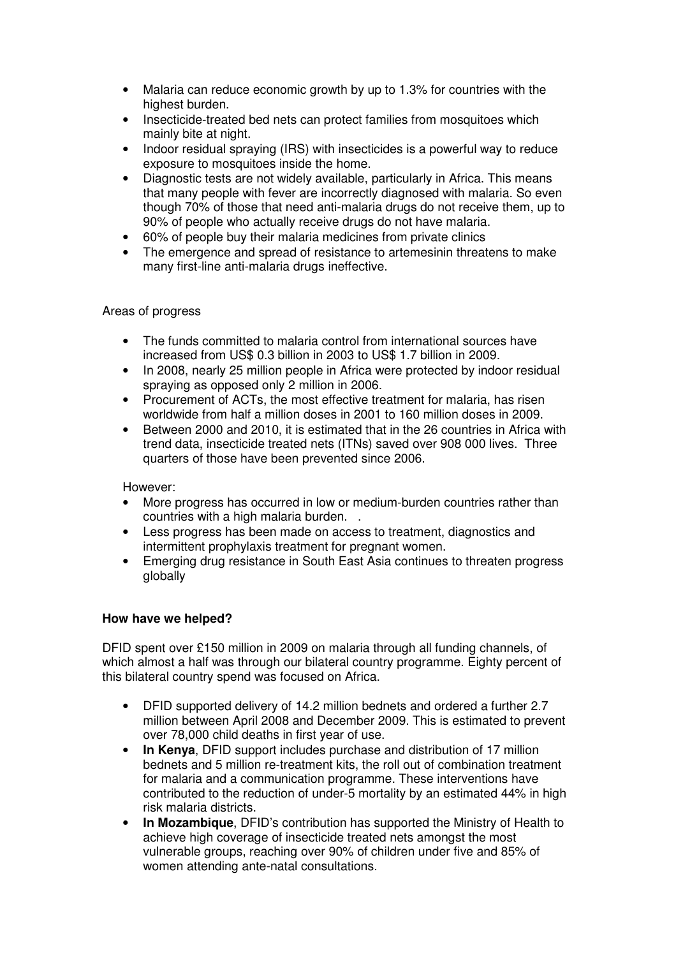- Malaria can reduce economic growth by up to 1.3% for countries with the highest burden.
- Insecticide-treated bed nets can protect families from mosquitoes which mainly bite at night.
- Indoor residual spraying (IRS) with insecticides is a powerful way to reduce exposure to mosquitoes inside the home.
- Diagnostic tests are not widely available, particularly in Africa. This means that many people with fever are incorrectly diagnosed with malaria. So even though 70% of those that need anti-malaria drugs do not receive them, up to 90% of people who actually receive drugs do not have malaria.
- 60% of people buy their malaria medicines from private clinics
- The emergence and spread of resistance to artemesinin threatens to make many first-line anti-malaria drugs ineffective.

### Areas of progress

- The funds committed to malaria control from international sources have increased from US\$ 0.3 billion in 2003 to US\$ 1.7 billion in 2009.
- In 2008, nearly 25 million people in Africa were protected by indoor residual spraying as opposed only 2 million in 2006.
- Procurement of ACTs, the most effective treatment for malaria, has risen worldwide from half a million doses in 2001 to 160 million doses in 2009.
- Between 2000 and 2010, it is estimated that in the 26 countries in Africa with trend data, insecticide treated nets (ITNs) saved over 908 000 lives. Three quarters of those have been prevented since 2006.

#### However:

- More progress has occurred in low or medium-burden countries rather than countries with a high malaria burden. .
- Less progress has been made on access to treatment, diagnostics and intermittent prophylaxis treatment for pregnant women.
- Emerging drug resistance in South East Asia continues to threaten progress globally

### **How have we helped?**

DFID spent over £150 million in 2009 on malaria through all funding channels, of which almost a half was through our bilateral country programme. Eighty percent of this bilateral country spend was focused on Africa.

- DFID supported delivery of 14.2 million bednets and ordered a further 2.7 million between April 2008 and December 2009. This is estimated to prevent over 78,000 child deaths in first year of use.
- **In Kenya**, DFID support includes purchase and distribution of 17 million bednets and 5 million re-treatment kits, the roll out of combination treatment for malaria and a communication programme. These interventions have contributed to the reduction of under-5 mortality by an estimated 44% in high risk malaria districts.
- **In Mozambique**, DFID's contribution has supported the Ministry of Health to achieve high coverage of insecticide treated nets amongst the most vulnerable groups, reaching over 90% of children under five and 85% of women attending ante-natal consultations.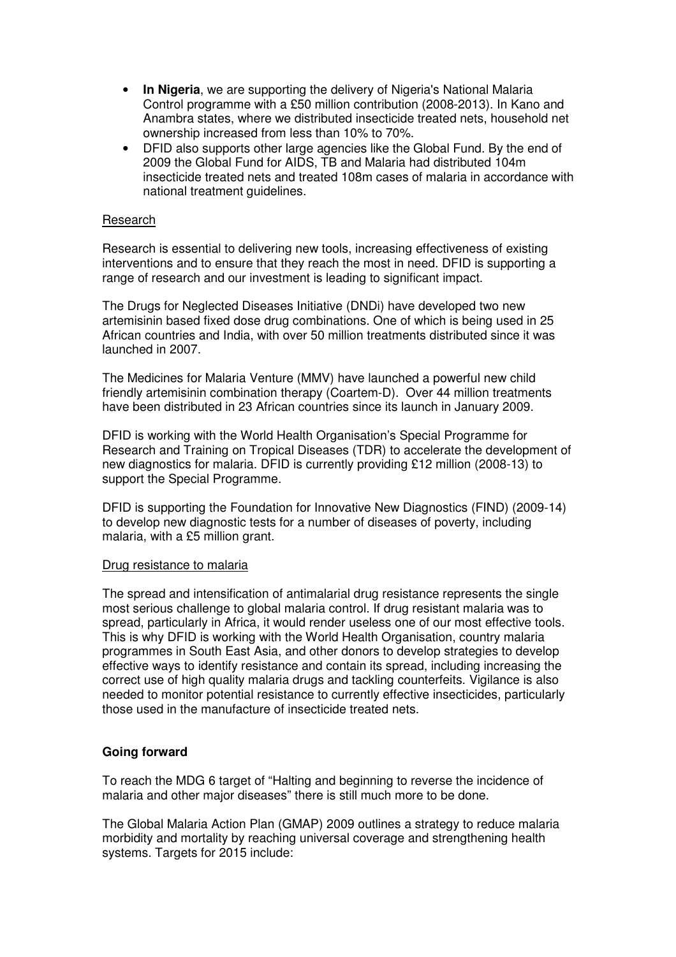- **In Nigeria**, we are supporting the delivery of Nigeria's National Malaria Control programme with a £50 million contribution (2008-2013). In Kano and Anambra states, where we distributed insecticide treated nets, household net ownership increased from less than 10% to 70%.
- DFID also supports other large agencies like the Global Fund. By the end of 2009 the Global Fund for AIDS, TB and Malaria had distributed 104m insecticide treated nets and treated 108m cases of malaria in accordance with national treatment guidelines.

#### Research

Research is essential to delivering new tools, increasing effectiveness of existing interventions and to ensure that they reach the most in need. DFID is supporting a range of research and our investment is leading to significant impact.

The Drugs for Neglected Diseases Initiative (DNDi) have developed two new artemisinin based fixed dose drug combinations. One of which is being used in 25 African countries and India, with over 50 million treatments distributed since it was launched in 2007.

The Medicines for Malaria Venture (MMV) have launched a powerful new child friendly artemisinin combination therapy (Coartem-D). Over 44 million treatments have been distributed in 23 African countries since its launch in January 2009.

DFID is working with the World Health Organisation's Special Programme for Research and Training on Tropical Diseases (TDR) to accelerate the development of new diagnostics for malaria. DFID is currently providing £12 million (2008-13) to support the Special Programme.

DFID is supporting the Foundation for Innovative New Diagnostics (FIND) (2009-14) to develop new diagnostic tests for a number of diseases of poverty, including malaria, with a £5 million grant.

#### Drug resistance to malaria

The spread and intensification of antimalarial drug resistance represents the single most serious challenge to global malaria control. If drug resistant malaria was to spread, particularly in Africa, it would render useless one of our most effective tools. This is why DFID is working with the World Health Organisation, country malaria programmes in South East Asia, and other donors to develop strategies to develop effective ways to identify resistance and contain its spread, including increasing the correct use of high quality malaria drugs and tackling counterfeits. Vigilance is also needed to monitor potential resistance to currently effective insecticides, particularly those used in the manufacture of insecticide treated nets.

### **Going forward**

To reach the MDG 6 target of "Halting and beginning to reverse the incidence of malaria and other major diseases" there is still much more to be done.

The Global Malaria Action Plan (GMAP) 2009 outlines a strategy to reduce malaria morbidity and mortality by reaching universal coverage and strengthening health systems. Targets for 2015 include: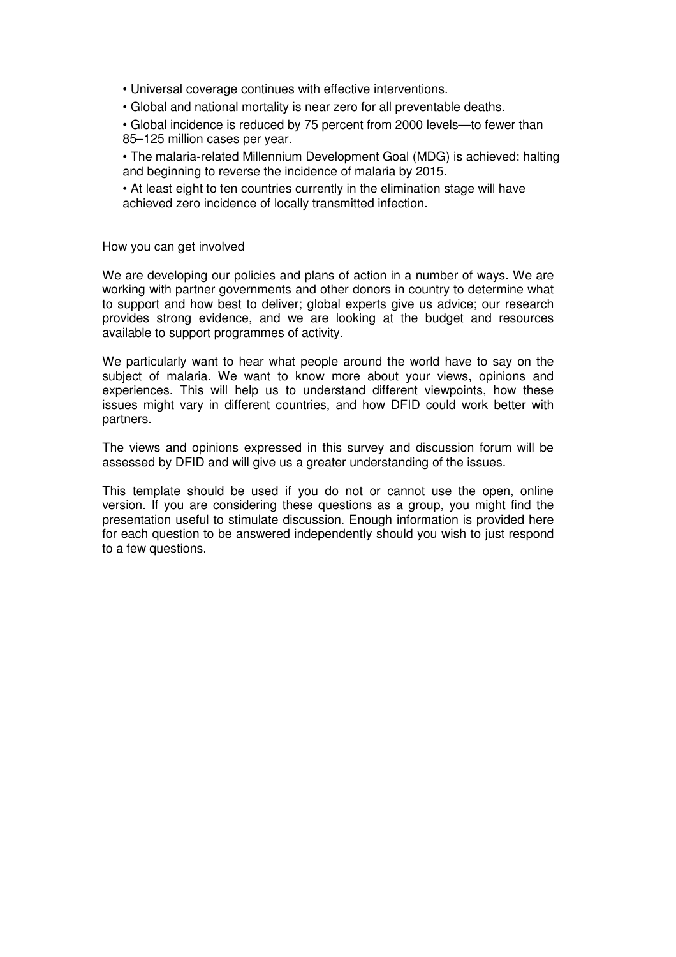• Universal coverage continues with effective interventions.

• Global and national mortality is near zero for all preventable deaths.

• Global incidence is reduced by 75 percent from 2000 levels—to fewer than 85–125 million cases per year.

• The malaria-related Millennium Development Goal (MDG) is achieved: halting and beginning to reverse the incidence of malaria by 2015.

• At least eight to ten countries currently in the elimination stage will have achieved zero incidence of locally transmitted infection.

How you can get involved

We are developing our policies and plans of action in a number of ways. We are working with partner governments and other donors in country to determine what to support and how best to deliver; global experts give us advice; our research provides strong evidence, and we are looking at the budget and resources available to support programmes of activity.

We particularly want to hear what people around the world have to say on the subject of malaria. We want to know more about your views, opinions and experiences. This will help us to understand different viewpoints, how these issues might vary in different countries, and how DFID could work better with partners.

The views and opinions expressed in this survey and discussion forum will be assessed by DFID and will give us a greater understanding of the issues.

This template should be used if you do not or cannot use the open, online version. If you are considering these questions as a group, you might find the presentation useful to stimulate discussion. Enough information is provided here for each question to be answered independently should you wish to just respond to a few questions.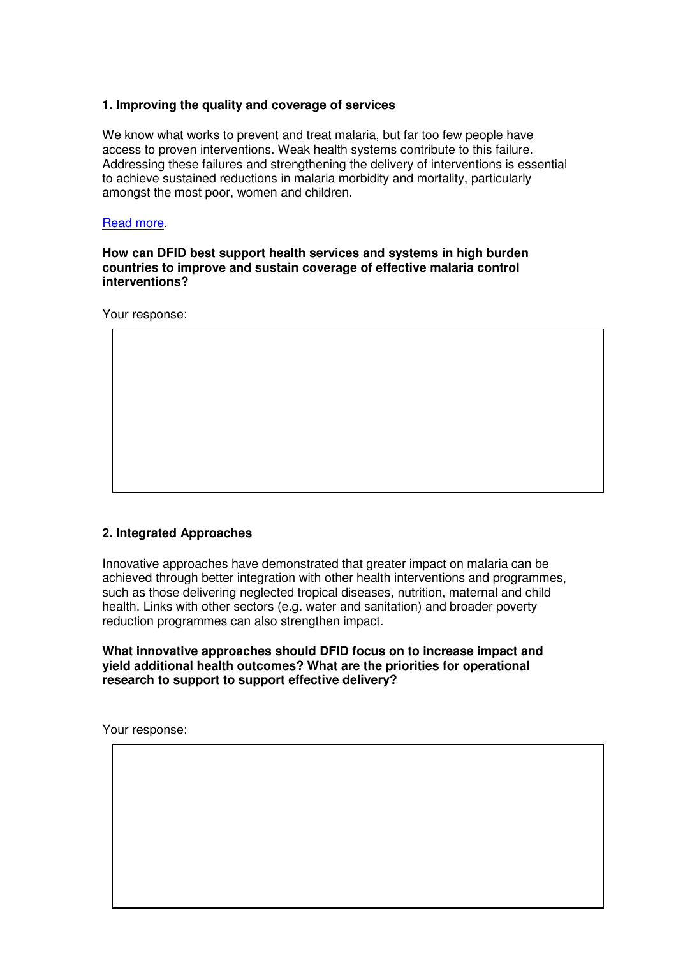### **1. Improving the quality and coverage of services**

We know what works to prevent and treat malaria, but far too few people have access to proven interventions. Weak health systems contribute to this failure. Addressing these failures and strengthening the delivery of interventions is essential to achieve sustained reductions in malaria morbidity and mortality, particularly amongst the most poor, women and children.

#### Read more.

#### **How can DFID best support health services and systems in high burden countries to improve and sustain coverage of effective malaria control interventions?**

Your response:

### **2. Integrated Approaches**

Innovative approaches have demonstrated that greater impact on malaria can be achieved through better integration with other health interventions and programmes, such as those delivering neglected tropical diseases, nutrition, maternal and child health. Links with other sectors (e.g. water and sanitation) and broader poverty reduction programmes can also strengthen impact.

**What innovative approaches should DFID focus on to increase impact and yield additional health outcomes? What are the priorities for operational research to support to support effective delivery?**

Your response: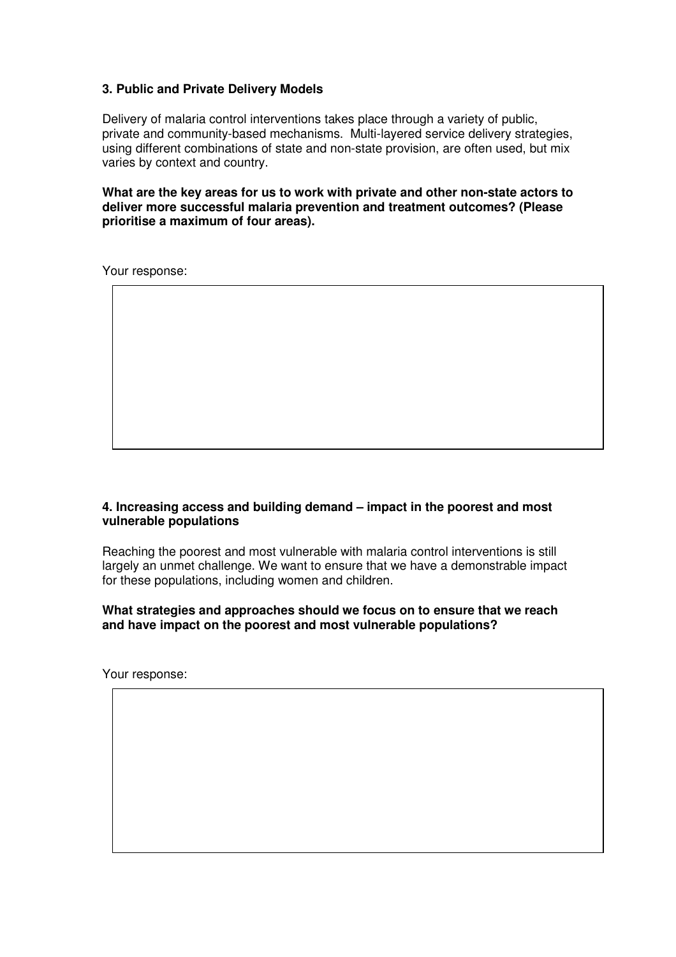### **3. Public and Private Delivery Models**

Delivery of malaria control interventions takes place through a variety of public, private and community-based mechanisms. Multi-layered service delivery strategies, using different combinations of state and non-state provision, are often used, but mix varies by context and country.

**What are the key areas for us to work with private and other non-state actors to deliver more successful malaria prevention and treatment outcomes? (Please prioritise a maximum of four areas).**

Your response:

### **4. Increasing access and building demand – impact in the poorest and most vulnerable populations**

Reaching the poorest and most vulnerable with malaria control interventions is still largely an unmet challenge. We want to ensure that we have a demonstrable impact for these populations, including women and children.

#### **What strategies and approaches should we focus on to ensure that we reach and have impact on the poorest and most vulnerable populations?**

Your response: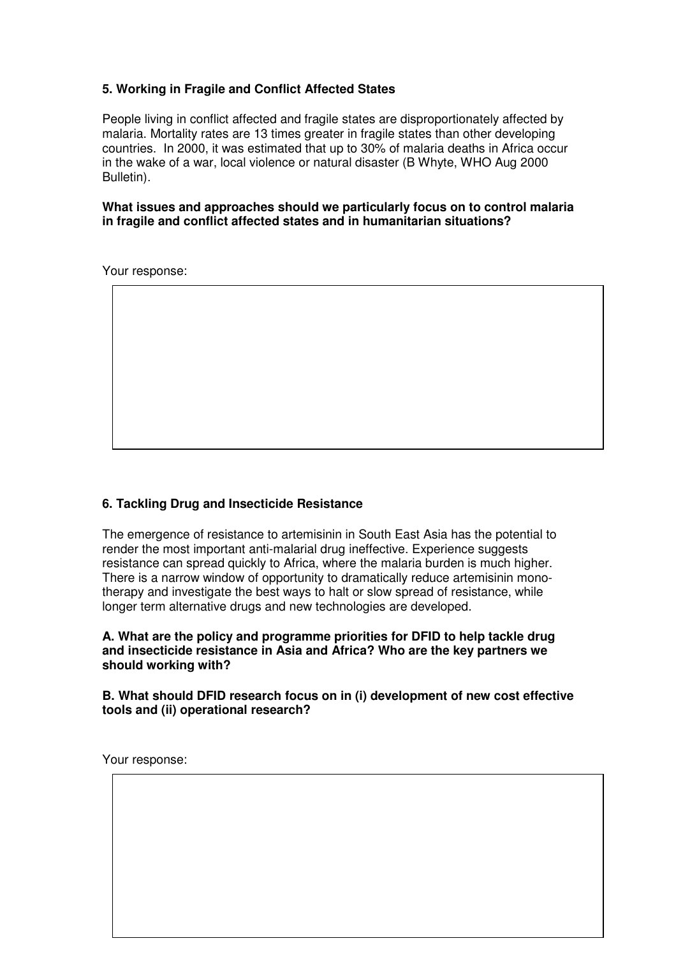### **5. Working in Fragile and Conflict Affected States**

People living in conflict affected and fragile states are disproportionately affected by malaria. Mortality rates are 13 times greater in fragile states than other developing countries. In 2000, it was estimated that up to 30% of malaria deaths in Africa occur in the wake of a war, local violence or natural disaster (B Whyte, WHO Aug 2000 Bulletin).

**What issues and approaches should we particularly focus on to control malaria in fragile and conflict affected states and in humanitarian situations?**

Your response:

### **6. Tackling Drug and Insecticide Resistance**

The emergence of resistance to artemisinin in South East Asia has the potential to render the most important anti-malarial drug ineffective. Experience suggests resistance can spread quickly to Africa, where the malaria burden is much higher. There is a narrow window of opportunity to dramatically reduce artemisinin monotherapy and investigate the best ways to halt or slow spread of resistance, while longer term alternative drugs and new technologies are developed.

#### **A. What are the policy and programme priorities for DFID to help tackle drug and insecticide resistance in Asia and Africa? Who are the key partners we should working with?**

**B. What should DFID research focus on in (i) development of new cost effective tools and (ii) operational research?**

Your response: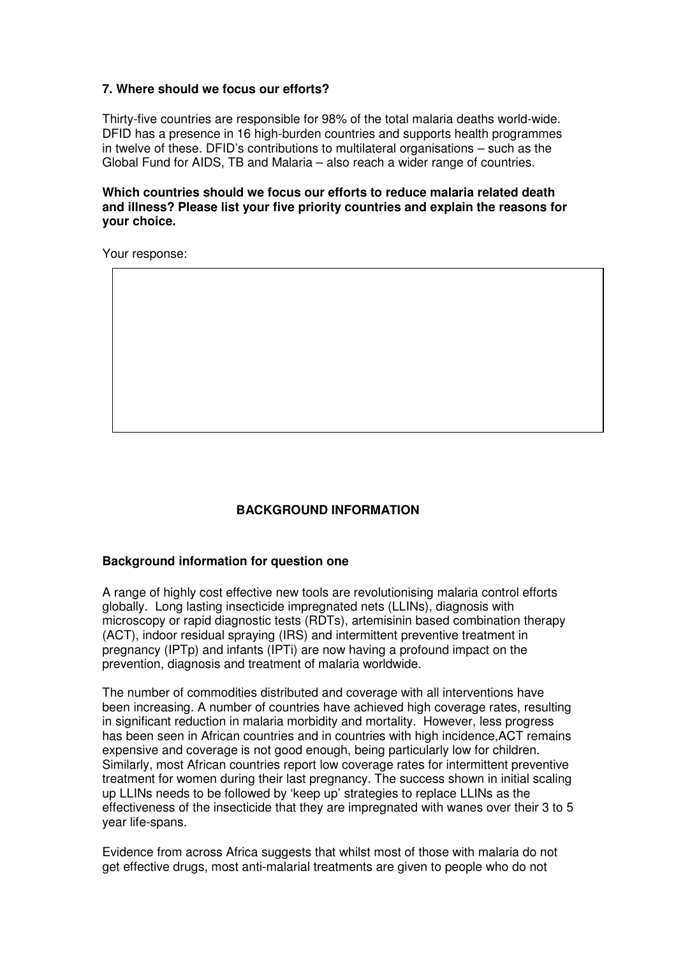### **7. Where should we focus our efforts?**

Thirty-five countries are responsible for 98% of the total malaria deaths world-wide. DFID has a presence in 16 high-burden countries and supports health programmes in twelve of these. DFID's contributions to multilateral organisations – such as the Global Fund for AIDS, TB and Malaria – also reach a wider range of countries.

#### **Which countries should we focus our efforts to reduce malaria related death and illness? Please list your five priority countries and explain the reasons for your choice.**

Your response:

### **BACKGROUND INFORMATION**

#### **Background information for question one**

A range of highly cost effective new tools are revolutionising malaria control efforts globally. Long lasting insecticide impregnated nets (LLINs), diagnosis with microscopy or rapid diagnostic tests (RDTs), artemisinin based combination therapy (ACT), indoor residual spraying (IRS) and intermittent preventive treatment in pregnancy (IPTp) and infants (IPTi) are now having a profound impact on the prevention, diagnosis and treatment of malaria worldwide.

The number of commodities distributed and coverage with all interventions have been increasing. A number of countries have achieved high coverage rates, resulting in significant reduction in malaria morbidity and mortality. However, less progress has been seen in African countries and in countries with high incidence,ACT remains expensive and coverage is not good enough, being particularly low for children. Similarly, most African countries report low coverage rates for intermittent preventive treatment for women during their last pregnancy. The success shown in initial scaling up LLINs needs to be followed by 'keep up' strategies to replace LLINs as the effectiveness of the insecticide that they are impregnated with wanes over their 3 to 5 year life-spans.

Evidence from across Africa suggests that whilst most of those with malaria do not get effective drugs, most anti-malarial treatments are given to people who do not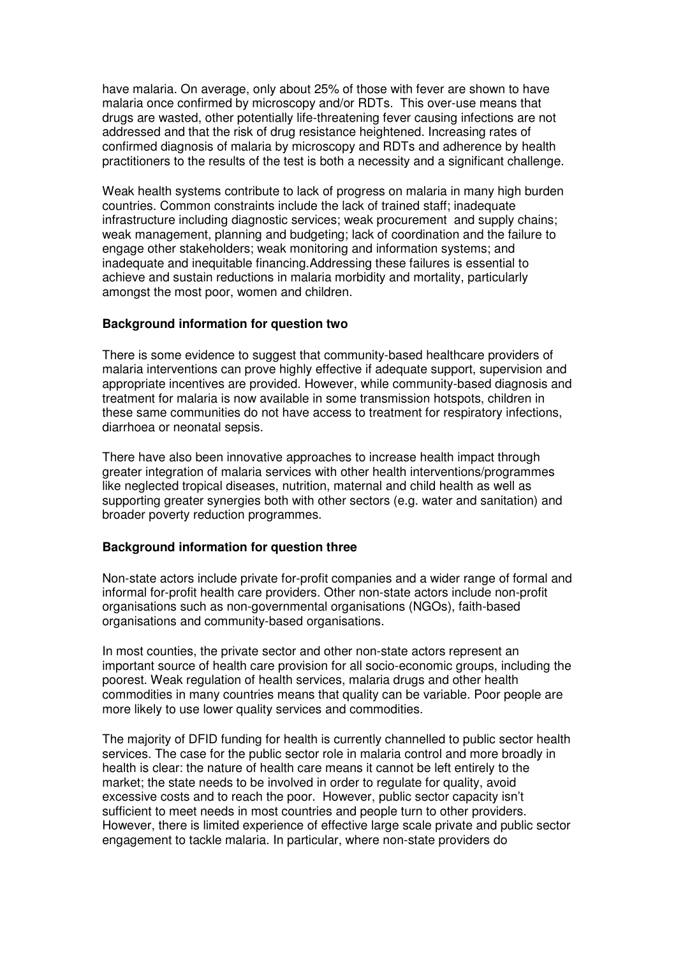have malaria. On average, only about 25% of those with fever are shown to have malaria once confirmed by microscopy and/or RDTs. This over-use means that drugs are wasted, other potentially life-threatening fever causing infections are not addressed and that the risk of drug resistance heightened. Increasing rates of confirmed diagnosis of malaria by microscopy and RDTs and adherence by health practitioners to the results of the test is both a necessity and a significant challenge.

Weak health systems contribute to lack of progress on malaria in many high burden countries. Common constraints include the lack of trained staff; inadequate infrastructure including diagnostic services; weak procurement and supply chains; weak management, planning and budgeting; lack of coordination and the failure to engage other stakeholders; weak monitoring and information systems; and inadequate and inequitable financing.Addressing these failures is essential to achieve and sustain reductions in malaria morbidity and mortality, particularly amongst the most poor, women and children.

#### **Background information for question two**

There is some evidence to suggest that community-based healthcare providers of malaria interventions can prove highly effective if adequate support, supervision and appropriate incentives are provided. However, while community-based diagnosis and treatment for malaria is now available in some transmission hotspots, children in these same communities do not have access to treatment for respiratory infections, diarrhoea or neonatal sepsis.

There have also been innovative approaches to increase health impact through greater integration of malaria services with other health interventions/programmes like neglected tropical diseases, nutrition, maternal and child health as well as supporting greater synergies both with other sectors (e.g. water and sanitation) and broader poverty reduction programmes.

### **Background information for question three**

Non-state actors include private for-profit companies and a wider range of formal and informal for-profit health care providers. Other non-state actors include non-profit organisations such as non-governmental organisations (NGOs), faith-based organisations and community-based organisations.

In most counties, the private sector and other non-state actors represent an important source of health care provision for all socio-economic groups, including the poorest. Weak regulation of health services, malaria drugs and other health commodities in many countries means that quality can be variable. Poor people are more likely to use lower quality services and commodities.

The majority of DFID funding for health is currently channelled to public sector health services. The case for the public sector role in malaria control and more broadly in health is clear: the nature of health care means it cannot be left entirely to the market; the state needs to be involved in order to regulate for quality, avoid excessive costs and to reach the poor. However, public sector capacity isn't sufficient to meet needs in most countries and people turn to other providers. However, there is limited experience of effective large scale private and public sector engagement to tackle malaria. In particular, where non-state providers do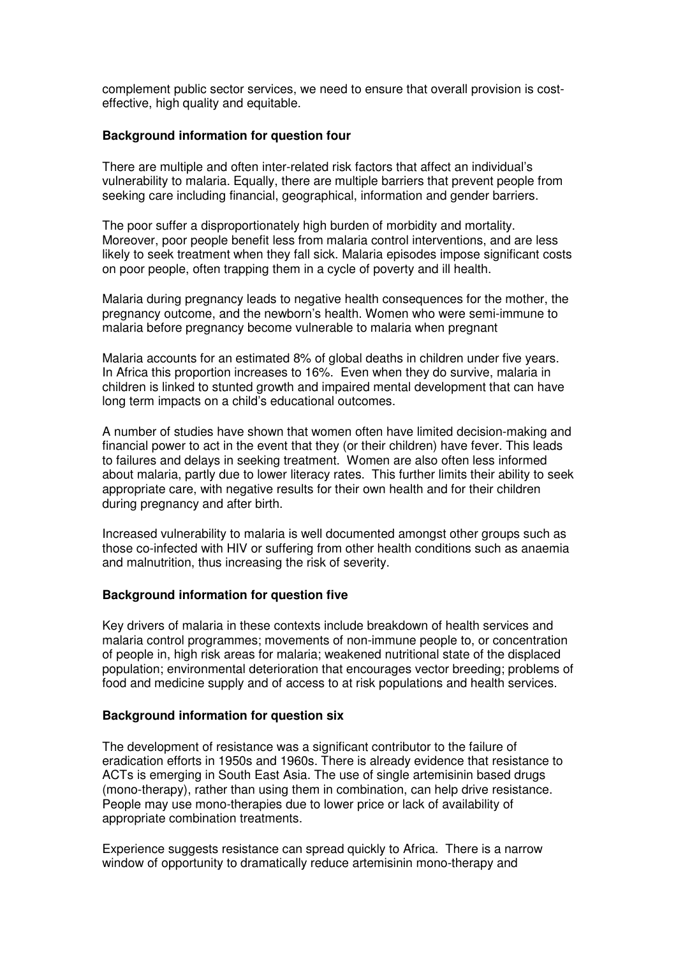complement public sector services, we need to ensure that overall provision is costeffective, high quality and equitable.

#### **Background information for question four**

There are multiple and often inter-related risk factors that affect an individual's vulnerability to malaria. Equally, there are multiple barriers that prevent people from seeking care including financial, geographical, information and gender barriers.

The poor suffer a disproportionately high burden of morbidity and mortality. Moreover, poor people benefit less from malaria control interventions, and are less likely to seek treatment when they fall sick. Malaria episodes impose significant costs on poor people, often trapping them in a cycle of poverty and ill health.

Malaria during pregnancy leads to negative health consequences for the mother, the pregnancy outcome, and the newborn's health. Women who were semi-immune to malaria before pregnancy become vulnerable to malaria when pregnant

Malaria accounts for an estimated 8% of global deaths in children under five years. In Africa this proportion increases to 16%. Even when they do survive, malaria in children is linked to stunted growth and impaired mental development that can have long term impacts on a child's educational outcomes.

A number of studies have shown that women often have limited decision-making and financial power to act in the event that they (or their children) have fever. This leads to failures and delays in seeking treatment. Women are also often less informed about malaria, partly due to lower literacy rates. This further limits their ability to seek appropriate care, with negative results for their own health and for their children during pregnancy and after birth.

Increased vulnerability to malaria is well documented amongst other groups such as those co-infected with HIV or suffering from other health conditions such as anaemia and malnutrition, thus increasing the risk of severity.

#### **Background information for question five**

Key drivers of malaria in these contexts include breakdown of health services and malaria control programmes; movements of non-immune people to, or concentration of people in, high risk areas for malaria; weakened nutritional state of the displaced population; environmental deterioration that encourages vector breeding; problems of food and medicine supply and of access to at risk populations and health services.

#### **Background information for question six**

The development of resistance was a significant contributor to the failure of eradication efforts in 1950s and 1960s. There is already evidence that resistance to ACTs is emerging in South East Asia. The use of single artemisinin based drugs (mono-therapy), rather than using them in combination, can help drive resistance. People may use mono-therapies due to lower price or lack of availability of appropriate combination treatments.

Experience suggests resistance can spread quickly to Africa. There is a narrow window of opportunity to dramatically reduce artemisinin mono-therapy and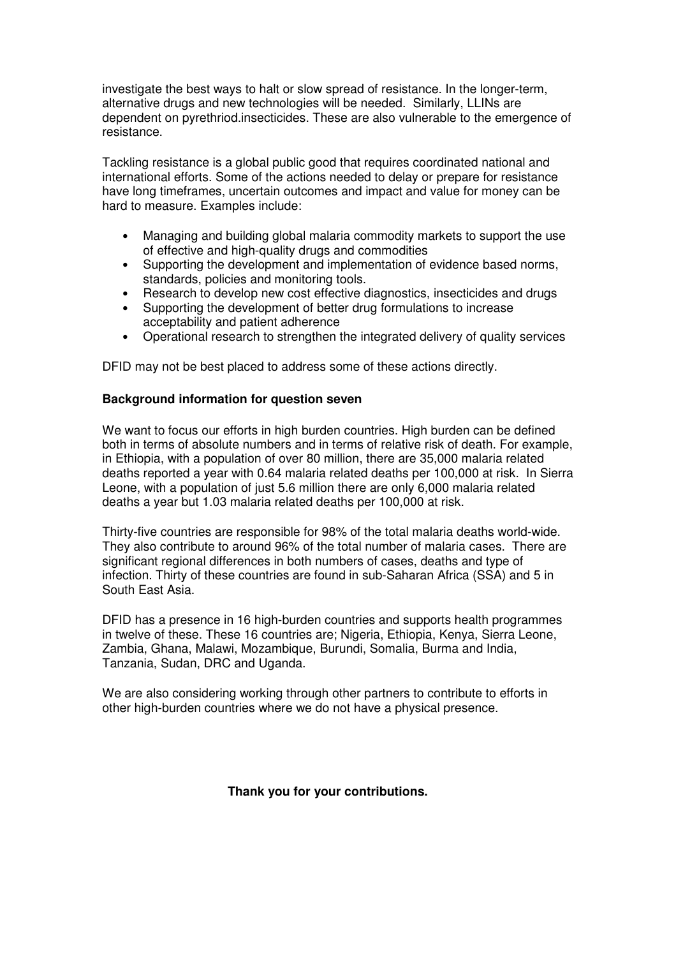investigate the best ways to halt or slow spread of resistance. In the longer-term, alternative drugs and new technologies will be needed. Similarly, LLINs are dependent on pyrethriod.insecticides. These are also vulnerable to the emergence of resistance.

Tackling resistance is a global public good that requires coordinated national and international efforts. Some of the actions needed to delay or prepare for resistance have long timeframes, uncertain outcomes and impact and value for money can be hard to measure. Examples include:

- Managing and building global malaria commodity markets to support the use of effective and high-quality drugs and commodities
- Supporting the development and implementation of evidence based norms, standards, policies and monitoring tools.
- Research to develop new cost effective diagnostics, insecticides and drugs
- Supporting the development of better drug formulations to increase acceptability and patient adherence
- Operational research to strengthen the integrated delivery of quality services

DFID may not be best placed to address some of these actions directly.

#### **Background information for question seven**

We want to focus our efforts in high burden countries. High burden can be defined both in terms of absolute numbers and in terms of relative risk of death. For example, in Ethiopia, with a population of over 80 million, there are 35,000 malaria related deaths reported a year with 0.64 malaria related deaths per 100,000 at risk. In Sierra Leone, with a population of just 5.6 million there are only 6,000 malaria related deaths a year but 1.03 malaria related deaths per 100,000 at risk.

Thirty-five countries are responsible for 98% of the total malaria deaths world-wide. They also contribute to around 96% of the total number of malaria cases. There are significant regional differences in both numbers of cases, deaths and type of infection. Thirty of these countries are found in sub-Saharan Africa (SSA) and 5 in South East Asia.

DFID has a presence in 16 high-burden countries and supports health programmes in twelve of these. These 16 countries are; Nigeria, Ethiopia, Kenya, Sierra Leone, Zambia, Ghana, Malawi, Mozambique, Burundi, Somalia, Burma and India, Tanzania, Sudan, DRC and Uganda.

We are also considering working through other partners to contribute to efforts in other high-burden countries where we do not have a physical presence.

**Thank you for your contributions.**